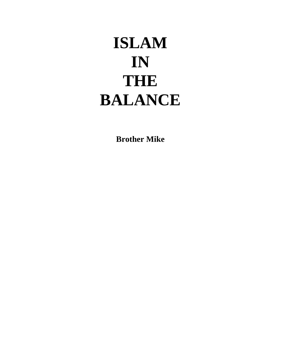# **ISLAM IN THE BALANCE**

**Brother Mike**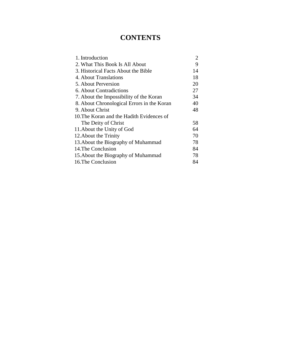## **CONTENTS**

| 1. Introduction                            | $\overline{2}$ |
|--------------------------------------------|----------------|
| 2. What This Book Is All About             | 9              |
| 3. Historical Facts About the Bible        | 14             |
| 4. About Translations                      | 18             |
| 5. About Perversion                        | 20             |
| 6. About Contradictions                    | 27             |
| 7. About the Impossibility of the Koran    | 34             |
| 8. About Chronological Errors in the Koran | 40             |
| 9. About Christ                            | 48             |
| 10. The Koran and the Hadith Evidences of  |                |
| The Deity of Christ                        | 58             |
| 11. About the Unity of God                 | 64             |
| 12. About the Trinity                      | 70             |
| 13. About the Biography of Muhammad        | 78             |
| 14. The Conclusion                         | 84             |
| 15. About the Biography of Muhammad        | 78             |
| 16. The Conclusion                         | 84             |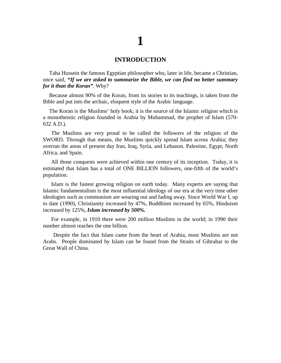# **1**

#### **INTRODUCTION**

Taha Hussein the famous Egyptian philosopher who, later in life, became a Christian, once said, *"If we are asked to summarize the Bible, we can find no better summary for it than the Koran"*. Why?

Because almost 90% of the Koran, from its stories to its teachings, is taken from the Bible and put into the archaic, eloquent style of the Arabic language.

The Koran is the Muslims' holy book; it is the source of the Islamic religion which is a monotheistic religion founded in Arabia by Muhammad, the prophet of Islam (570- 632 A.D.).

The Muslims are very proud to be called the followers of the religion of the SWORD. Through that means, the Muslims quickly spread Islam across Arabia; they overran the areas of present day Iran, Iraq, Syria, and Lebanon. Palestine, Egypt, North Africa, and Spain.

All those conquests were achieved within one century of its inception. Today, it is estimated that Islam has a total of ONE BILLION followers, one-fifth of the world's population.

Islam is the fastest growing religion on earth today. Many experts are saying that Islamic fundamentalism is the most influential ideology of our era at the very time other ideologies such as communism are wearing out and fading away. Since World War I, up to date (1990), Christianity increased by 47%, Buddhism increased by 65%, Hinduism increased by 125%, *Islam increased by 500%.*

For example, in 1910 there were 200 million Muslims in the world; in 1990 their number almost reaches the one billion.

Despite the fact that Islam came from the heart of Arabia, most Muslims are not Arabs. People dominated by Islam can be found from the Straits of Gibraltar to the Great Wall of China.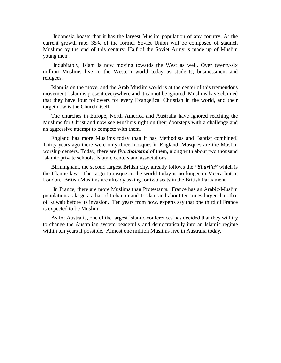Indonesia boasts that it has the largest Muslim population of any country. At the current growth rate, 35% of the former Soviet Union will be composed of staunch Muslims by the end of this century. Half of the Soviet Army is made up of Muslim young men.

Indubitably, Islam is now moving towards the West as well. Over twenty-six million Muslims live in the Western world today as students, businessmen, and refugees.

Islam is on the move, and the Arab Muslim world is at the center of this tremendous movement. Islam is present everywhere and it cannot be ignored. Muslims have claimed that they have four followers for every Evangelical Christian in the world, and their target now is the Church itself.

The churches in Europe, North America and Australia have ignored reaching the Muslims for Christ and now see Muslims right on their doorsteps with a challenge and an aggressive attempt to compete with them.

England has more Muslims today than it has Methodists and Baptist combined! Thirty years ago there were only three mosques in England. Mosques are the Muslim worship centers. Today, there are *five thousand* of them, along with about two thousand Islamic private schools, Islamic centers and associations.

Birmingham, the second largest British city, already follows the *"Shari'a"* which is the Islamic law. The largest mosque in the world today is no longer in Mecca but in London. British Muslims are already asking for two seats in the British Parliament.

In France, there are more Muslims than Protestants. France has an Arabic-Muslim population as large as that of Lebanon and Jordan, and about ten times larger than that of Kuwait before its invasion. Ten years from now, experts say that one third of France is expected to be Muslim.

As for Australia, one of the largest Islamic conferences has decided that they will try to change the Australian system peacefully and democratically into an Islamic regime within ten years if possible. Almost one million Muslims live in Australia today.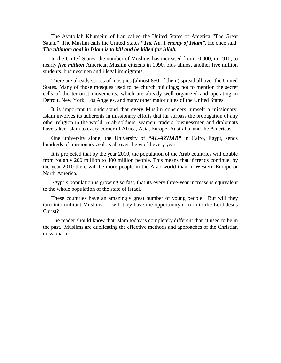The Ayatollah Khumeini of Iran called the United States of America "The Great Satan." The Muslim calls the United States "The No. 1 enemy of Islam". He once said: *The ultimate goal in Islam is to kill and be killed for Allah.* 

In the United States, the number of Muslims has increased from 10,000, in 1910, to nearly *five million* American Muslim citizens in 1990, plus almost another five million students, businessmen and illegal immigrants.

There are already scores of mosques (almost 850 of them) spread all over the United States. Many of those mosques used to be church buildings; not to mention the secret cells of the terrorist movements, which are already well organized and operating in Detroit, New York, Los Angeles, and many other major cities of the United States.

It is important to understand that every Muslim considers himself a missionary. Islam involves its adherents in missionary efforts that far surpass the propagation of any other religion in the world. Arab soldiers, seamen, traders, businessmen and diplomats have taken Islam to every corner of Africa, Asia, Europe, Australia, and the Americas.

One university alone, the University of *"AL-AZHAR"* in Cairo, Egypt, sends hundreds of missionary zealots all over the world every year.

It is projected that by the year 2010, the population of the Arab countries will double from roughly 200 million to 400 million people. This means that if trends continue, by the year 2010 there will be more people in the Arab world than in Western Europe or North America.

Egypt's population is growing so fast, that its every three-year increase is equivalent to the whole population of the state of Israel.

These countries have an amazingly great number of young people. But will they turn into militant Muslims, or will they have the opportunity to turn to the Lord Jesus Christ?

The reader should know that Islam today is completely different than it used to be in the past. Muslims are duplicating the effective methods and approaches of the Christian missionaries.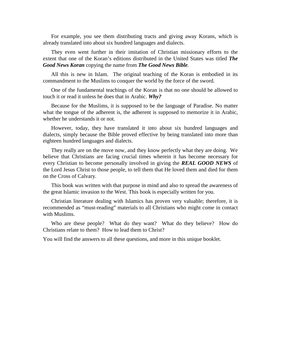For example, you see them distributing tracts and giving away Korans, which is already translated into about six hundred languages and dialects.

They even went further in their imitation of Christian missionary efforts to the extent that one of the Koran's editions distributed in the United States was titled *The Good News Koran* copying the name from *The Good News Bible.*

All this is new in Islam. The original teaching of the Koran is embodied in its commandment to the Muslims to conquer the world by the force of the sword.

One of the fundamental teachings of the Koran is that no one should be allowed to touch it or read it unless he does that in Arabic. *Why?*

Because for the Muslims, it is supposed to be the language of Paradise. No matter what the tongue of the adherent is, the adherent is supposed to memorize it in Arabic, whether he understands it or not.

However, today, they have translated it into about six hundred languages and dialects, simply because the Bible proved effective by being translated into more than eighteen hundred languages and dialects.

They really are on the move now, and they know perfectly what they are doing. We believe that Christians are facing crucial times wherein it has become necessary for every Christian to become personally involved in giving the *REAL GOOD NEWS* of the Lord Jesus Christ to those people, to tell them that He loved them and died for them on the Cross of Calvary.

This book was written with that purpose in mind and also to spread the awareness of the great Islamic invasion to the West. This book is especially written for you.

Christian literature dealing with Islamics has proven very valuable; therefore, it is recommended as "must-reading" materials to all Christians who might come in contact with Muslims.

Who are these people? What do they want? What do they believe? How do Christians relate to them? How to lead them to Christ?

You will find the answers to all these questions, and more in this unique booklet.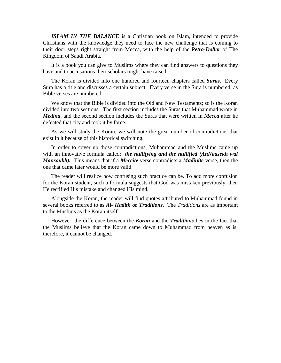**ISLAM IN THE BALANCE** is a Christian book on Islam, intended to provide Christians with the knowledge they need to face the new challenge that is coming to their door steps right straight from Mecca, with the help of the *Petro-Dollar* of The Kingdom of Saudi Arabia.

It is a book you can give to Muslims where they can find answers to questions they have and to accusations their scholars might have raised.

The Koran is divided into one hundred and fourteen chapters called *Suras*. Every Sura has a title and discusses a certain subject. Every verse in the Sura is numbered, as Bible verses are numbered.

We know that the Bible is divided into the Old and New Testaments; so is the Koran divided into two sections. The first section includes the Suras that Muhammad wrote in *Medina*, and the second section includes the Suras that were written in *Mecca* after he defeated that city and took it by force.

As we will study the Koran, we will note the great number of contradictions that exist in it because of this historical switching.

In order to cover up those contradictions, Muhammad and the Muslims came up with an innovative formula called: *the nullifying and the nullified (AnNaasekh wal Mansoukh).* This means that if a *Meccite* verse contradicts a *Madinite* verse, then the one that came later would be more valid.

The reader will realize how confusing such practice can be. To add more confusion for the Koran student, such a formula suggests that God was mistaken previously; then He rectified His mistake and changed His mind.

Alongside the Koran, the reader will find quotes attributed to Muhammad found in several books referred to as *Al- Hadith* **or** *Traditions*. The *Traditions* are as important to the Muslims as the Koran itself.

However, the difference between the *Koran* and the *Traditions* lies in the fact that the Muslims believe that the Koran came down to Muhammad from heaven as is; therefore, it cannot be changed.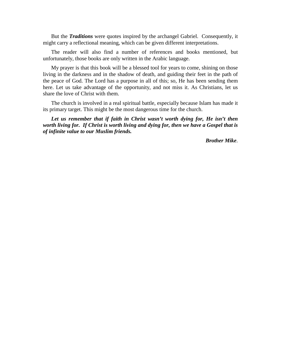But the *Traditions* were quotes inspired by the archangel Gabriel. Consequently, it might carry a reflectional meaning, which can be given different interpretations.

The reader will also find a number of references and books mentioned, but unfortunately, those books are only written in the Arabic language.

My prayer is that this book will be a blessed tool for years to come, shining on those living in the darkness and in the shadow of death, and guiding their feet in the path of the peace of God. The Lord has a purpose in all of this; so, He has been sending them here. Let us take advantage of the opportunity, and not miss it. As Christians, let us share the love of Christ with them.

The church is involved in a real spiritual battle, especially because Islam has made it its primary target. This might be the most dangerous time for the church.

Let us remember that if faith in Christ wasn't worth dying for, He isn't then *worth living for. If Christ is worth living and dying for, then we have a Gospel that is of infinite value to our Muslim friends.* 

*Brother Mike*.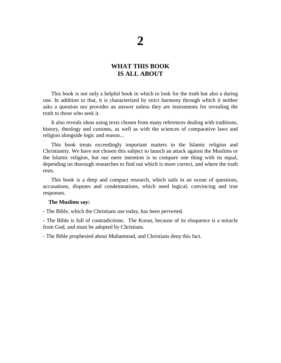## **2**

#### **WHAT THIS BOOK IS ALL ABOUT**

This book is not only a helpful book in which to look for the truth but also a daring one. In addition to that, it is characterized by strict harmony through which it neither asks a question nor provides an answer unless they are instruments for revealing the truth to those who seek it.

It also reveals ideas using texts chosen from many references dealing with traditions, history, theology and customs, as well as with the sciences of comparative laws and religion alongside logic and reason...

This book treats exceedingly important matters in the Islamic religion and Christianity. We have not chosen this subject to launch an attack against the Muslims or the Islamic religion, but our mere intention is to compare one thing with its equal, depending on thorough researches to find out which is more correct, and where the truth rests.

This book is a deep and compact research, which sails in an ocean of questions, accusations, disputes and condemnations, which need logical, convincing and true responses.

#### **The Muslims say:**

- The Bible, which the Christians use today, has been perverted.

- The Bible is full of contradictions. The Koran, because of its eloquence is a miracle from God, and must be adopted by Christians.

- The Bible prophesied about Muhammad, and Christians deny this fact.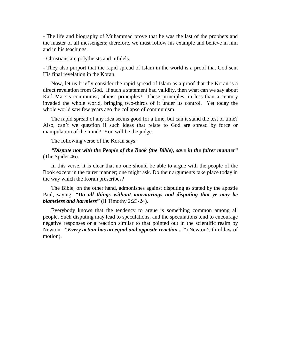- The life and biography of Muhammad prove that he was the last of the prophets and the master of all messengers; therefore, we must follow his example and believe in him and in his teachings.

- Christians are polytheists and infidels.

- They also purport that the rapid spread of Islam in the world is a proof that God sent His final revelation in the Koran.

Now, let us briefly consider the rapid spread of Islam as a proof that the Koran is a direct revelation from God. If such a statement had validity, then what can we say about Karl Marx's communist, atheist principles? These principles, in less than a century invaded the whole world, bringing two-thirds of it under its control. Yet today the whole world saw few years ago the collapse of communism.

The rapid spread of any idea seems good for a time, but can it stand the test of time? Also, can't we question if such ideas that relate to God are spread by force or manipulation of the mind? You will be the judge.

The following verse of the Koran says:

*"Dispute not with the People of the Book (the Bible), save in the fairer manner"* (The Spider 46).

In this verse, it is clear that no one should be able to argue with the people of the Book except in the fairer manner; one might ask. Do their arguments take place today in the way which the Koran prescribes?

The Bible, on the other hand, admonishes against disputing as stated by the apostle Paul, saying: *"Do all things without murmurings and disputing that ye may be blameless and harmless"* (II Timothy 2:23-24).

Everybody knows that the tendency to argue is something common among all people. Such disputing may lead to speculations, and the speculations tend to encourage negative responses or a reaction similar to that pointed out in the scientific realm by Newton: "Every action has an equal and opposite reaction...." (Newton's third law of motion).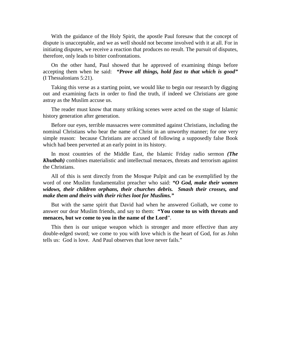With the guidance of the Holy Spirit, the apostle Paul foresaw that the concept of dispute is unacceptable, and we as well should not become involved with it at all. For in initiating disputes, we receive a reaction that produces no result. The pursuit of disputes, therefore, only leads to bitter confrontations.

On the other hand, Paul showed that he approved of examining things before accepting them when he said: *"Prove all things, hold fast to that which is good"* (I Thessalonians 5:21).

Taking this verse as a starting point, we would like to begin our research by digging out and examining facts in order to find the truth, if indeed we Christians are gone astray as the Muslim accuse us.

The reader must know that many striking scenes were acted on the stage of Islamic history generation after generation.

Before our eyes, terrible massacres were committed against Christians, including the nominal Christians who bear the name of Christ in an unworthy manner; for one very simple reason: because Christians are accused of following a supposedly false Book which had been perverted at an early point in its history.

In most countries of the Middle East, the Islamic Friday radio sermon *(The Khutbah)* combines materialistic and intellectual menaces, threats and terrorism against the Christians.

All of this is sent directly from the Mosque Pulpit and can be exemplified by the word of one Muslim fundamentalist preacher who said: *"O God, make their women widows, their children orphans, their churches debris. Smash their crosses, and make them and theirs with their riches loot for Muslims."* 

But with the same spirit that David had when he answered Goliath, we come to answer our dear Muslim friends, and say to them: **"You come to us with threats and menaces, but we come to you in the name of the Lord**".

This then is our unique weapon which is stronger and more effective than any double-edged sword; we come to you with love which is the heart of God, for as John tells us: God is love. And Paul observes that love never fails."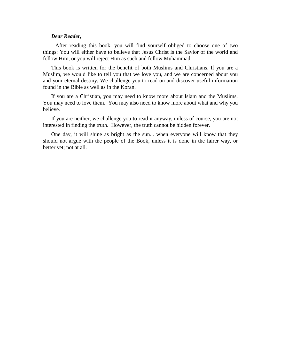#### *Dear Reader,*

After reading this book, you will find yourself obliged to choose one of two things: You will either have to believe that Jesus Christ is the Savior of the world and follow Him, or you will reject Him as such and follow Muhammad.

This book is written for the benefit of both Muslims and Christians. If you are a Muslim, we would like to tell you that we love you, and we are concerned about you and your eternal destiny. We challenge you to read on and discover useful information found in the Bible as well as in the Koran.

If you are a Christian, you may need to know more about Islam and the Muslims. You may need to love them. You may also need to know more about what and why you believe.

If you are neither, we challenge you to read it anyway, unless of course, you are not interested in finding the truth. However, the truth cannot be hidden forever.

One day, it will shine as bright as the sun... when everyone will know that they should not argue with the people of the Book, unless it is done in the fairer way, or better yet; not at all.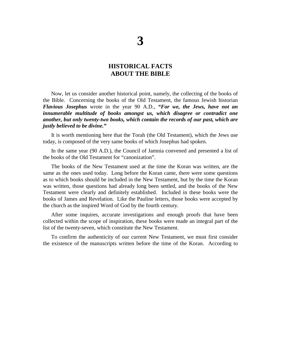#### **HISTORICAL FACTS ABOUT THE BIBLE**

Now, let us consider another historical point, namely, the collecting of the books of the Bible. Concerning the books of the Old Testament, the famous Jewish historian *Flavious Josephus* wrote in the year 90 A.D., *"For we, the Jews, have not an innumerable multitude of books amongst us, which disagree or contradict one another, but only twenty-two books, which contain the records of our past, which are justly believed to be divine."*

It is worth mentioning here that the Torah (the Old Testament), which the Jews use today, is composed of the very same books of which Josephus had spoken.

In the same year (90 A.D.), the Council of Jamnia convened and presented a list of the books of the Old Testament for "canonization".

The books of the New Testament used at the time the Koran was written, are the same as the ones used today. Long before the Koran came, there were some questions as to which books should be included in the New Testament, but by the time the Koran was written, those questions had already long been settled, and the books of the New Testament were clearly and definitely established. Included in these books were the books of James and Revelation. Like the Pauline letters, those books were accepted by the church as the inspired Word of God by the fourth century.

After some inquires, accurate investigations and enough proofs that have been collected within the scope of inspiration, these books were made an integral part of the list of the twenty-seven, which constitute the New Testament.

To confirm the authenticity of our current New Testament, we must first consider the existence of the manuscripts written before the time of the Koran. According to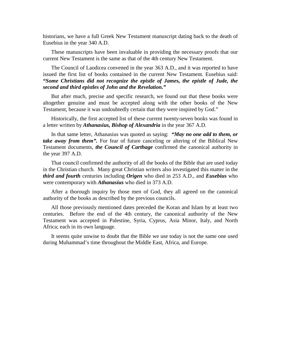historians, we have a full Greek New Testament manuscript dating back to the death of Eusebius in the year 340 A.D.

These manuscripts have been invaluable in providing the necessary proofs that our current New Testament is the same as that of the 4th century New Testament.

The Council of Laodicea convened in the year 363 A.D., and it was reported to have issued the first list of books contained in the current New Testament. Eusebius said: *"Some Christians did not recognize the epistle of James, the epistle of Jude, the second and third epistles of John and the Revelation."* 

But after much, precise and specific research, we found out that these books were altogether genuine and must be accepted along with the other books of the New Testament, because it was undoubtedly certain that they were inspired by God."

Historically, the first accepted list of these current twenty-seven books was found in a letter written by *Athanasius, Bishop of Alexandria* in the year 367 A.D.

In that same letter, Athanasius was quoted as saying: *"May no one add to them, or take away from them".* For fear of future canceling or altering of the Biblical New Testament documents, *the Council of Carthage* confirmed the canonical authority in the year 397 A.D.

That council confirmed the authority of all the books of the Bible that are used today in the Christian church. Many great Christian writers also investigated this matter in the *third and fourth* centuries including *Origen* who died in 253 A.D., and *Eusebius* who were contemporary with *Athanasius* who died in 373 A.D.

After a thorough inquiry by those men of God, they all agreed on the canonical authority of the books as described by the previous councils.

All those previously mentioned dates preceded the Koran and Islam by at least two centuries. Before the end of the 4th century, the canonical authority of the New Testament was accepted in Palestine, Syria, Cyprus, Asia Minor, Italy, and North Africa; each in its own language.

It seems quite unwise to doubt that the Bible we use today is not the same one used during Muhammad's time throughout the Middle East, Africa, and Europe.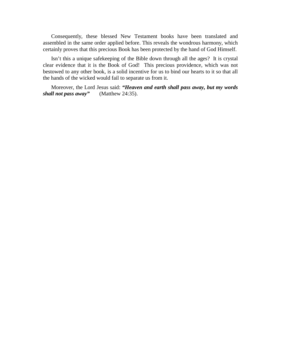Consequently, these blessed New Testament books have been translated and assembled in the same order applied before. This reveals the wondrous harmony, which certainly proves that this precious Book has been protected by the hand of God Himself.

Isn't this a unique safekeeping of the Bible down through all the ages? It is crystal clear evidence that it is the Book of God! This precious providence, which was not bestowed to any other book, is a solid incentive for us to bind our hearts to it so that all the hands of the wicked would fail to separate us from it.

Moreover, the Lord Jesus said: *"Heaven and earth shall pass away, but my words shall not pass away"* (Matthew 24:35).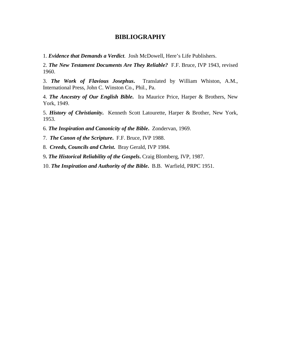#### **BIBLIOGRAPHY**

1. *Evidence that Demands a Verdict*. Josh McDowell, Here's Life Publishers.

2. *The New Testament Documents Are They Reliable?* F.F. Bruce, IVP 1943, revised 1960.

3. *The Work of Flavious Josephus***.** Translated by William Whiston, A.M., International Press, John C. Winston Co., Phil., Pa.

4. *The Ancestry of Our English Bible***.** Ira Maurice Price, Harper & Brothers, New York, 1949.

5. *History of Christianity***.** Kenneth Scott Latourette, Harper & Brother, New York, 1953.

6. *The Inspiration and Canonicity of the Bible***.** Zondervan, 1969.

7. *The Canon of the Scripture***.** F.F. Bruce, IVP 1988.

8. *Creeds, Councils and Christ***.** Bray Gerald, IVP 1984.

9**.** *The Historical Reliability of the Gospels***.** Craig Blomberg, IVP, 1987.

10. *The Inspiration and Authority of the Bible***.** B.B. Warfield, PRPC 1951.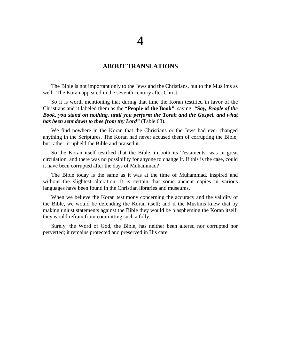#### **ABOUT TRANSLATIONS**

The Bible is not important only to the Jews and the Christians, but to the Muslims as well. The Koran appeared in the seventh century after Christ.

So it is worth mentioning that during that time the Koran testified in favor of the Christians and it labeled them as the **"People of the Book"**, saying: *"Say, People of the Book, you stand on nothing, until you perform the Torah and the Gospel, and what has been sent down to thee from thy Lord"* (Table 68).

We find nowhere in the Koran that the Christians or the Jews had ever changed anything in the Scriptures. The Koran had never accused them of corrupting the Bible; but rather, it upheld the Bible and praised it.

So the Koran itself testified that the Bible, in both its Testaments, was in great circulation, and there was no possibility for anyone to change it. If this is the case, could it have been corrupted after the days of Muhammad?

The Bible today is the same as it was at the time of Muhammad, inspired and without the slightest alteration. It is certain that some ancient copies in various languages have been found in the Christian libraries and museums.

When we believe the Koran testimony concerning the accuracy and the validity of the Bible, we would be defending the Koran itself; and if the Muslims knew that by making unjust statements against the Bible they would be blaspheming the Koran itself, they would refrain from committing such a folly.

Surely, the Word of God, the Bible, has neither been altered nor corrupted nor perverted; it remains protected and preserved in His care.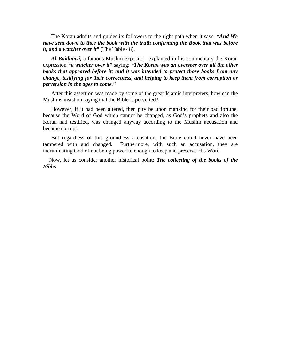The Koran admits and guides its followers to the right path when it says: *"And We have sent down to thee the book with the truth confirming the Book that was before it, and a watcher over it"* (The Table 48).

*Al-Baidhawi,* a famous Muslim expositor, explained in his commentary the Koran expression *"a watcher over it"* saying: *"The Koran was an overseer over all the other books that appeared before it; and it was intended to protect those books from any change, testifying for their correctness, and helping to keep them from corruption or perversion in the ages to come."* 

After this assertion was made by some of the great Islamic interpreters, how can the Muslims insist on saying that the Bible is perverted?

However, if it had been altered, then pity be upon mankind for their bad fortune, because the Word of God which cannot be changed, as God's prophets and also the Koran had testified, was changed anyway according to the Muslim accusation and became corrupt.

But regardless of this groundless accusation, the Bible could never have been tampered with and changed. Furthermore, with such an accusation, they are incriminating God of not being powerful enough to keep and preserve His Word.

Now, let us consider another historical point: *The collecting of the books of the Bible.*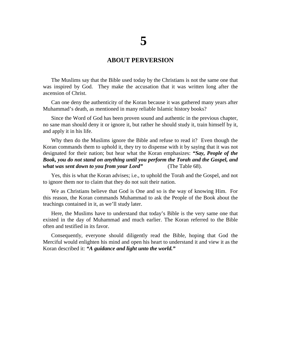#### **ABOUT PERVERSION**

The Muslims say that the Bible used today by the Christians is not the same one that was inspired by God. They make the accusation that it was written long after the ascension of Christ.

Can one deny the authenticity of the Koran because it was gathered many years after Muhammad's death, as mentioned in many reliable Islamic history books?

Since the Word of God has been proven sound and authentic in the previous chapter, no sane man should deny it or ignore it, but rather he should study it, train himself by it, and apply it in his life.

Why then do the Muslims ignore the Bible and refuse to read it? Even though the Koran commands them to uphold it, they try to dispense with it by saying that it was not designated for their nation; but hear what the Koran emphasizes: *"Say, People of the Book, you do not stand on anything until you perform the Torah and the Gospel, and what was sent down to you from your Lord"* (The Table 68).

Yes, this is what the Koran advises; i.e., to uphold the Torah and the Gospel, and not to ignore them nor to claim that they do not suit their nation.

We as Christians believe that God is One and so is the way of knowing Him. For this reason, the Koran commands Muhammad to ask the People of the Book about the teachings contained in it, as we'll study later.

Here, the Muslims have to understand that today's Bible is the very same one that existed in the day of Muhammad and much earlier. The Koran referred to the Bible often and testified in its favor.

Consequently, everyone should diligently read the Bible, hoping that God the Merciful would enlighten his mind and open his heart to understand it and view it as the Koran described it: *"A guidance and light unto the world."*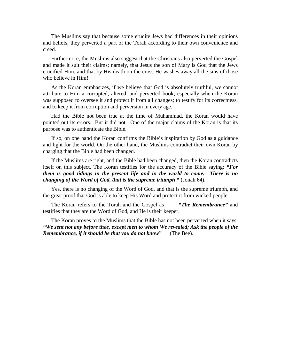The Muslims say that because some erudite Jews had differences in their opinions and beliefs, they perverted a part of the Torah according to their own convenience and creed.

Furthermore, the Muslims also suggest that the Christians also perverted the Gospel and made it suit their claims; namely, that Jesus the son of Mary is God that the Jews crucified Him, and that by His death on the cross He washes away all the sins of those who believe in Him!

As the Koran emphasizes, if we believe that God is absolutely truthful, we cannot attribute to Him a corrupted, altered, and perverted book; especially when the Koran was supposed to oversee it and protect it from all changes; to testify for its correctness, and to keep it from corruption and perversion in every age.

Had the Bible not been true at the time of Muhammad, the Koran would have pointed out its errors. But it did not. One of the major claims of the Koran is that its purpose was to authenticate the Bible.

If so, on one hand the Koran confirms the Bible's inspiration by God as a guidance and light for the world. On the other hand, the Muslims contradict their own Koran by charging that the Bible had been changed.

If the Muslims are right, and the Bible had been changed, then the Koran contradicts itself on this subject. The Koran testifies for the accuracy of the Bible saying: *"For them is good tidings in the present life and in the world to come. There is no changing of the Word of God, that is the supreme triumph "* (Jonah 64).

Yes, there is no changing of the Word of God, and that is the supreme triumph, and the great proof that God is able to keep His Word and protect it from wicked people.

The Koran refers to the Torah and the Gospel as *"The Remembrance"* and testifies that they are the Word of God, and He is their keeper.

The Koran proves to the Muslims that the Bible has not been perverted when it says: *"We sent not any before thee, except men to whom We revealed; Ask the people of the Remembrance, if it should be that you do not know"* (The Bee).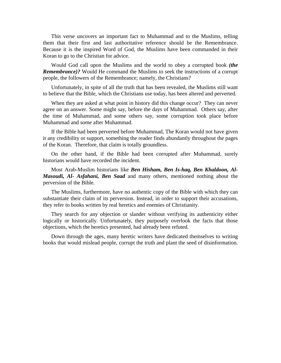This verse uncovers an important fact to Muhammad and to the Muslims, telling them that their first and last authoritative reference should be the Remembrance. Because it is the inspired Word of God, the Muslims have been commanded in their Koran to go to the Christian for advice.

Would God call upon the Muslims and the world to obey a corrupted book *(the Remembrance)?* Would He command the Muslims to seek the instructions of a corrupt people, the followers of the Remembrance; namely, the Christians?

Unfortunately, in spite of all the truth that has been revealed, the Muslims still want to believe that the Bible, which the Christians use today, has been altered and perverted.

When they are asked at what point in history did this change occur? They can never agree on an answer. Some might say, before the days of Muhammad. Others say, after the time of Muhammad, and some others say, some corruption took place before Muhammad and some after Muhammad.

If the Bible had been perverted before Muhammad, The Koran would not have given it any credibility or support, something the reader finds abundantly throughout the pages of the Koran. Therefore, that claim is totally groundless.

On the other hand, if the Bible had been corrupted after Muhammad, surely historians would have recorded the incident.

Most Arab-Muslim historians like *Ben Hisham, Ben Is-haq, Ben Khaldoon, Al-Masoudi, Al- Asfahani, Ben Saad* and many others, mentioned nothing about the perversion of the Bible.

The Muslims, furthermore, have no authentic copy of the Bible with which they can substantiate their claim of its perversion. Instead, in order to support their accusations, they refer to books written by real heretics and enemies of Christianity.

They search for any objection or slander without verifying its authenticity either logically or historically. Unfortunately, they purposely overlook the facts that those objections, which the heretics presented, had already been refuted.

Down through the ages, many heretic writers have dedicated themselves to writing books that would mislead people, corrupt the truth and plant the seed of disinformation.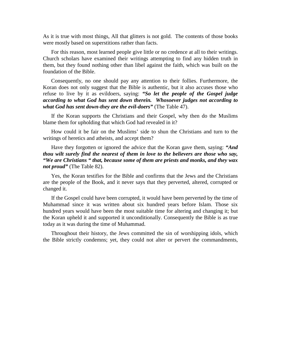As it is true with most things, All that glitters is not gold. The contents of those books were mostly based on superstitions rather than facts.

For this reason, most learned people give little or no credence at all to their writings. Church scholars have examined their writings attempting to find any hidden truth in them, but they found nothing other than libel against the faith, which was built on the foundation of the Bible.

Consequently, no one should pay any attention to their follies. Furthermore, the Koran does not only suggest that the Bible is authentic, but it also accuses those who refuse to live by it as evildoers, saying: *"So let the people of the Gospel judge according to what God has sent down therein. Whosoever judges not according to what God has sent down-they are the evil-doers"* (The Table 47).

If the Koran supports the Christians and their Gospel, why then do the Muslims blame them for upholding that which God had revealed in it?

How could it be fair on the Muslims' side to shun the Christians and turn to the writings of heretics and atheists, and accept them?

Have they forgotten or ignored the advice that the Koran gave them, saying: *"And thou wilt surely find the nearest of them in love to the believers are those who say, "We are Christians " that, because some of them are priests and monks, and they wax not proud"* (The Table 82).

Yes, the Koran testifies for the Bible and confirms that the Jews and the Christians are the people of the Book, and it never says that they perverted, altered, corrupted or changed it.

If the Gospel could have been corrupted, it would have been perverted by the time of Muhammad since it was written about six hundred years before Islam. Those six hundred years would have been the most suitable time for altering and changing it; but the Koran upheld it and supported it unconditionally. Consequently the Bible is as true today as it was during the time of Muhammad.

Throughout their history, the Jews committed the sin of worshipping idols, which the Bible strictly condemns; yet, they could not alter or pervert the commandments,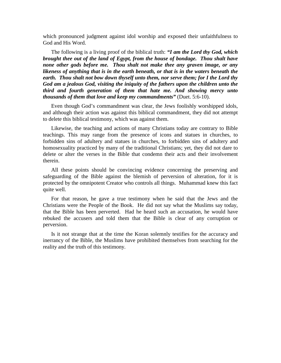which pronounced judgment against idol worship and exposed their unfaithfulness to God and His Word.

The following is a living proof of the biblical truth: *"I am the Lord thy God, which brought thee out of the land of Egypt, from the house of bondage. Thou shalt have none other gods before me. Thou shalt not make thee any graven image, or any likeness of anything that is in the earth beneath, or that is in the waters beneath the earth. Thou shalt not bow down thyself unto them, nor serve them; for I the Lord thy God am a jealous God, visiting the iniquity of the fathers upon the children unto the third and fourth generation of them that hate me. And showing mercy unto thousands of them that love and keep my commandments"* (Duet. 5:6-10).

Even though God's commandment was clear, the Jews foolishly worshipped idols, and although their action was against this biblical commandment, they did not attempt to delete this biblical testimony, which was against them.

Likewise, the teaching and actions of many Christians today are contrary to Bible teachings. This may range from the presence of icons and statues in churches, to forbidden sins of adultery and statues in churches, to forbidden sins of adultery and homosexuality practiced by many of the traditional Christians; yet, they did not dare to delete or alter the verses in the Bible that condemn their acts and their involvement therein.

All these points should be convincing evidence concerning the preserving and safeguarding of the Bible against the blemish of perversion of alteration, for it is protected by the omnipotent Creator who controls all things. Muhammad knew this fact quite well.

For that reason, he gave a true testimony when he said that the Jews and the Christians were the People of the Book. He did not say what the Muslims say today, that the Bible has been perverted. Had he heard such an accusation, he would have rebuked the accusers and told them that the Bible is clear of any corruption or perversion.

Is it not strange that at the time the Koran solemnly testifies for the accuracy and inerrancy of the Bible, the Muslims have prohibited themselves from searching for the reality and the truth of this testimony.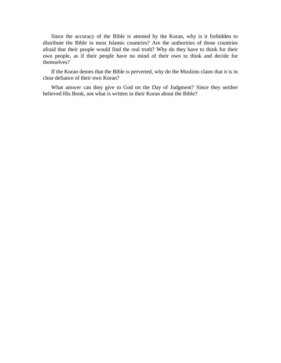Since the accuracy of the Bible is attested by the Koran, why is it forbidden to distribute the Bible in most Islamic countries? Are the authorities of those countries afraid that their people would find the real truth? Why do they have to think for their own people, as if their people have no mind of their own to think and decide for themselves?

If the Koran denies that the Bible is perverted, why do the Muslims claim that it is in clear defiance of their own Koran?

What answer can they give to God on the Day of Judgment? Since they neither believed His Book, not what is written in their Koran about the Bible?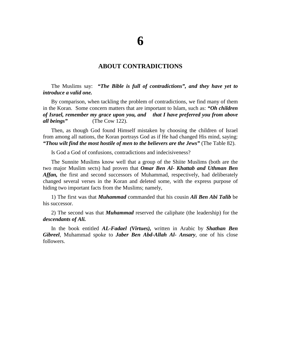#### **ABOUT CONTRADICTIONS**

The Muslims say: *"The Bible is full of contradictions", and they have yet to introduce a valid one.* 

By comparison, when tackling the problem of contradictions, we find many of them in the Koran. Some concern matters that are important to Islam, such as: *"Oh children of Israel, remember my grace upon you, and that I have preferred you from above all beings"* (The Cow 122).

Then, as though God found Himself mistaken by choosing the children of Israel from among all nations, the Koran portrays God as if He had changed His mind, saying: *"Thou wilt find the most hostile of men to the believers are the Jews"* (The Table 82).

Is God a God of confusions, contradictions and indecisiveness?

The Sunnite Muslims know well that a group of the Shiite Muslims (both are the two major Muslim sects) had proven that *Omar Ben Al- Khattab and Uthman Ben Affan,* the first and second successors of Muhammad, respectively, had deliberately changed several verses in the Koran and deleted some, with the express purpose of hiding two important facts from the Muslims; namely,

1) The first was that *Muhammad* commanded that his cousin *Ali Ben Abi Talib* be his successor.

2) The second was that *Muhammad* reserved the caliphate (the leadership) for the *descendants of Ali.*

In the book entitled *AL-Fadael (Virtues),* written in Arabic by *Shathan Ben Gibreel*, Muhammad spoke to *Jaber Ben Abd-Allah Al- Ansary*, one of his close followers.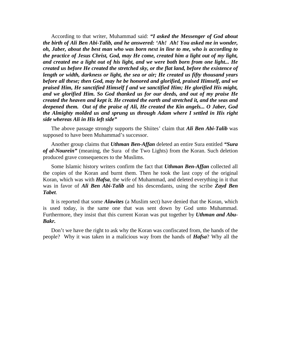According to that writer, Muhammad said: *"I asked the Messenger of God about the birth of Ali Ben Abi-Talib, and he answered: 'Ah! Ah! You asked me in wonder, oh, Jaber, about the best man who was born next in line to me, who is according to the practice of Jesus Christ, God, may He come, created him a light out of my light, and created me a light out of his light, and we were both born from one light... He created us before He created the stretched sky, or the flat land, before the existence of length or width, darkness or light, the sea or air; He created us fifty thousand years before all these; then God, may he be honored and glorified, praised Himself, and we praised Him, He sanctified Himself f and we sanctified Him; He glorified His might, and we glorified Him. So God thanked us for our deeds, and out of my praise He created the heaven and kept it. He created the earth and stretched it, and the seas and deepened them. Out of the praise of Ali, He created the Kin angels... O Jaber, God the Almighty molded us and sprung us through Adam where I settled in His right side whereas Ali in His left side"* 

The above passage strongly supports the Shiites' claim that *Ali Ben Abi-Talib* was supposed to have been Muhammad's successor.

Another group claims that *Uthman Ben-Affan* deleted an entire Sura entitled *"Sura of al-Nourein"* (meaning, the Sura of the Two Lights) from the Koran. Such deletion produced grave consequences to the Muslims.

Some Islamic history writers confirm the fact that *Uthman Ben-Affan* collected all the copies of the Koran and burnt them. Then he took the last copy of the original Koran, which was with *Hafsa*, the wife of Muhammad, and deleted everything in it that was in favor of *Ali Ben Abi-Talib* and his descendants, using the scribe *Zayd Ben Tabet*.

It is reported that some *Alawites* (a Muslim sect) have denied that the Koran, which is used today, is the same one that was sent down by God unto Muhammad. Furthermore, they insist that this current Koran was put together by *Uthman and Abu-Bakr.* 

Don't we have the right to ask why the Koran was confiscated from, the hands of the people? Why it was taken in a malicious way from the hands of *Hafsa*? Why all the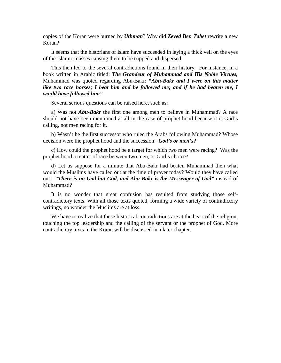copies of the Koran were burned by *Uthman*? Why did *Zeyed Ben Tabet* rewrite a new Koran?

It seems that the historians of Islam have succeeded in laying a thick veil on the eyes of the Islamic masses causing them to be tripped and dispersed.

This then led to the several contradictions found in their history. For instance, in a book written in Arabic titled: *The Grandeur of Muhammad and His Noble Virtues,*  Muhammad was quoted regarding Abu-Bakr: *"Abu-Bakr and I were on this matter*  like two race horses; I beat him and he followed me; and if he had beaten me, I *would have followed him"* 

Several serious questions can be raised here, such as:

a) Was not *Abu-Bakr* the first one among men to believe in Muhammad? A race should not have been mentioned at all in the case of prophet hood because it is God's calling, not men racing for it.

b) Wasn't he the first successor who ruled the Arabs following Muhammad? Whose decision were the prophet hood and the succession: *God's or men's?* 

c) How could the prophet hood be a target for which two men were racing? Was the prophet hood a matter of race between two men, or God's choice?

d) Let us suppose for a minute that Abu-Bakr had beaten Muhammad then what would the Muslims have called out at the time of prayer today? Would they have called out: *"There is no God but God, and Abu-Bakr is the Messenger of God"* instead of Muhammad?

It is no wonder that great confusion has resulted from studying those selfcontradictory texts. With all those texts quoted, forming a wide variety of contradictory writings, no wonder the Muslims are at loss.

We have to realize that these historical contradictions are at the heart of the religion, touching the top leadership and the calling of the servant or the prophet of God. More contradictory texts in the Koran will be discussed in a later chapter.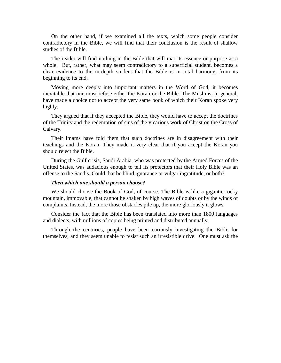On the other hand, if we examined all the texts, which some people consider contradictory in the Bible, we will find that their conclusion is the result of shallow studies of the Bible.

The reader will find nothing in the Bible that will mar its essence or purpose as a whole. But, rather, what may seem contradictory to a superficial student, becomes a clear evidence to the in-depth student that the Bible is in total harmony, from its beginning to its end.

Moving more deeply into important matters in the Word of God, it becomes inevitable that one must refuse either the Koran or the Bible. The Muslims, in general, have made a choice not to accept the very same book of which their Koran spoke very highly.

They argued that if they accepted the Bible, they would have to accept the doctrines of the Trinity and the redemption of sins of the vicarious work of Christ on the Cross of Calvary.

Their Imams have told them that such doctrines are in disagreement with their teachings and the Koran. They made it very clear that if you accept the Koran you should reject the Bible.

During the Gulf crisis, Saudi Arabia, who was protected by the Armed Forces of the United States, was audacious enough to tell its protectors that their Holy Bible was an offense to the Saudis. Could that be blind ignorance or vulgar ingratitude, or both?

#### *Then which one should a person choose?*

We should choose the Book of God, of course. The Bible is like a gigantic rocky mountain, immovable, that cannot be shaken by high waves of doubts or by the winds of complaints. Instead, the more those obstacles pile up, the more gloriously it glows.

Consider the fact that the Bible has been translated into more than 1800 languages and dialects, with millions of copies being printed and distributed annually.

Through the centuries, people have been curiously investigating the Bible for themselves, and they seem unable to resist such an irresistible drive. One must ask the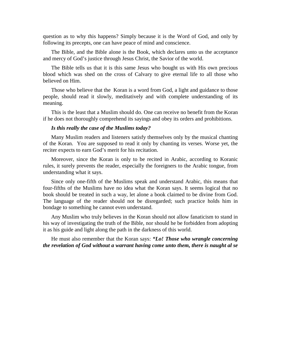question as to why this happens? Simply because it is the Word of God, and only by following its precepts, one can have peace of mind and conscience.

The Bible, and the Bible alone is the Book, which declares unto us the acceptance and mercy of God's justice through Jesus Christ, the Savior of the world.

The Bible tells us that it is this same Jesus who bought us with His own precious blood which was shed on the cross of Calvary to give eternal life to all those who believed on Him.

Those who believe that the Koran is a word from God, a light and guidance to those people, should read it slowly, meditatively and with complete understanding of its meaning.

This is the least that a Muslim should do. One can receive no benefit from the Koran if he does not thoroughly comprehend its sayings and obey its orders and prohibitions.

#### *Is this really the case of the Muslims today?*

Many Muslim readers and listeners satisfy themselves only by the musical chanting of the Koran. You are supposed to read it only by chanting its verses. Worse yet, the reciter expects to earn God's merit for his recitation.

Moreover, since the Koran is only to be recited in Arabic, according to Koranic rules, it surely prevents the reader, especially the foreigners to the Arabic tongue, from understanding what it says.

Since only one-fifth of the Muslims speak and understand Arabic, this means that four-fifths of the Muslims have no idea what the Koran says. It seems logical that no book should be treated in such a way, let alone a book claimed to be divine from God. The language of the reader should not be disregarded; such practice holds him in bondage to something he cannot even understand.

Any Muslim who truly believes in the Koran should not allow fanaticism to stand in his way of investigating the truth of the Bible, nor should he be forbidden from adopting it as his guide and light along the path in the darkness of this world.

He must also remember that the Koran says: *"Lo! Those who wrangle concerning the revelation of God without a warrant having come unto them, there is naught al se*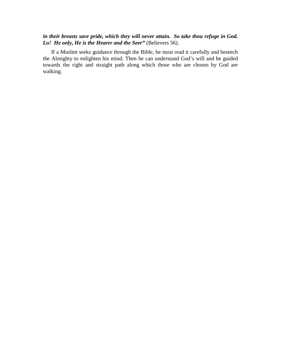#### *in their breasts save pride, which they will never attain. So take thou refuge in God. Lo! He only, He is the Hearer and the Seer"* (Believers 56).

If a Muslim seeks guidance through the Bible, he must read it carefully and beseech the Almighty to enlighten his mind. Then he can understand God's will and be guided towards the right and straight path along which those who are chosen by God are walking.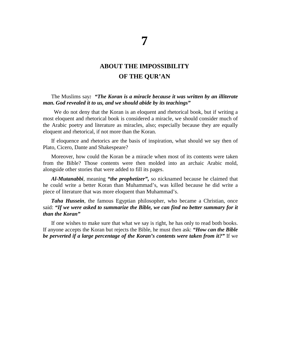### **ABOUT THE IMPOSSIBILITY OF THE QUR'AN**

The Muslims say*: "The Koran is a miracle because it was written by an illiterate man. God revealed it to us, and we should abide by its teachings"* 

We do not deny that the Koran is an eloquent and rhetorical book, but if writing a most eloquent and rhetorical book is considered a miracle, we should consider much of the Arabic poetry and literature as miracles, also; especially because they are equally eloquent and rhetorical, if not more than the Koran.

If eloquence and rhetorics are the basis of inspiration, what should we say then of Plato, Cicero, Dante and Shakespeare?

Moreover, how could the Koran be a miracle when most of its contents were taken from the Bible? Those contents were then molded into an archaic Arabic mold, alongside other stories that were added to fill its pages.

*Al-Mutanabbi*, meaning *"the prophetizer",* so nicknamed because he claimed that he could write a better Koran than Muhammad's, was killed because he did write a piece of literature that was more eloquent than Muhammad's.

*Taha Hussein*, the famous Egyptian philosopher, who became a Christian, once said: *"If we were asked to summarize the Bible, we can find no better summary for it than the Koran"* 

If one wishes to make sure that what we say is right, he has only to read both books. If anyone accepts the Koran but rejects the Bible, he must then ask: *"How can the Bible be perverted if a large percentage of the Koran's contents were taken from it?"* If we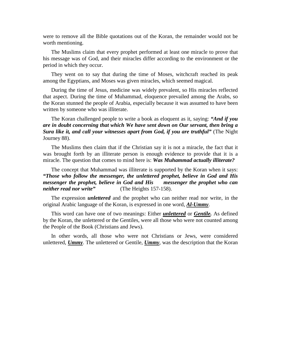were to remove all the Bible quotations out of the Koran, the remainder would not be worth mentioning.

The Muslims claim that every prophet performed at least one miracle to prove that his message was of God, and their miracles differ according to the environment or the period in which they occur.

They went on to say that during the time of Moses, witchcraft reached its peak among the Egyptians, and Moses was given miracles, which seemed magical.

During the time of Jesus, medicine was widely prevalent, so His miracles reflected that aspect. During the time of Muhammad, eloquence prevailed among the Arabs, so the Koran stunned the people of Arabia, especially because it was assumed to have been written by someone who was illiterate.

The Koran challenged people to write a book as eloquent as it, saying: *"And if you are in doubt concerning that which We have sent down on Our servant, then bring a Sura like it, and call your witnesses apart from God, if you are truthful"* (The Night Journey 88).

The Muslims then claim that if the Christian say it is not a miracle, the fact that it was brought forth by an illiterate person is enough evidence to provide that it is a miracle. The question that comes to mind here is: *Was Muhammad actually illiterate?* 

The concept that Muhammad was illiterate is supported by the Koran when it says: *"Those who follow the messenger, the unlettered prophet, believe in God and His messenger the prophet, believe in God and His messenger the prophet who can neither read nor write"* (The Heights 157-158).

The expression *unlettered* and the prophet who can neither read nor write, in the original Arabic language of the Koran, is expressed in one word, *Al-Ummy*.

This word can have one of two meanings: Either *unlettered* or *Gentile.* As defined by the Koran, the unlettered or the Gentiles, were all those who were not counted among the People of the Book (Christians and Jews).

In other words, all those who were not Christians or Jews, were considered unlettered, *Ummy*. The unlettered or Gentile, *Ummy*, was the description that the Koran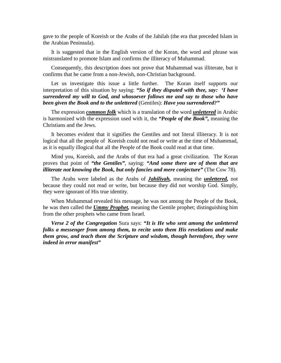gave to the people of Koreish or the Arabs of the Jahilah (the era that preceded Islam in the Arabian Peninsula).

It is suggested that in the English version of the Koran, the word and phrase was mistranslated to promote Islam and confirms the illiteracy of Muhammad.

Consequently, this description does not prove that Muhammad was illiterate, but it confirms that he came from a non-Jewish, non-Christian background.

Let us investigate this issue a little further. The Koran itself supports our interpretation of this situation by saying: *"So if they disputed with thee, say: 'I have surrendered my will to God, and whosoever follows me and say to those who have been given the Book and to the unlettered* (Gentiles): *Have you surrendered?"* 

The expression *common folk* which is a translation of the word *unlettered* in Arabic is harmonized with the expression used with it, the *"People of the Book",* meaning the Christians and the Jews.

It becomes evident that it signifies the Gentiles and not literal illiteracy. It is not logical that all the people of Koreish could not read or write at the time of Muhammad, as it is equally illogical that all the People of the Book could read at that time.

Mind you, Koreish, and the Arabs of that era had a great civilization. The Koran proves that point of *"the Gentiles"*, saying: *"And some there are of them that are illiterate not knowing the Book, but only fancies and mere conjecture"* (The Cow 78).

The Arabs were labeled as the Arabs of *Jahiliyah,* meaning the *unlettered,* not because they could not read or write, but because they did not worship God. Simply, they were ignorant of His true identity.

When Muhammad revealed his message, he was not among the People of the Book, he was then called the *Ummy Prophet,* meaning the Gentile prophet; distinguishing him from the other prophets who came from Israel.

*Verse 2 of the Congregation* Sura says: *"It is He who sent among the unlettered folks a messenger from among them, to recite unto them His revelations and make them grow, and teach them the Scripture and wisdom, though heretofore, they were indeed in error manifest"*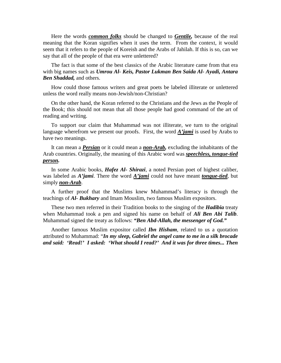Here the words *common folks* should be changed to *Gentile,* because of the real meaning that the Koran signifies when it uses the term. From the context, it would seem that it refers to the people of Koreish and the Arabs of Jahilah. If this is so, can we say that all of the people of that era were unlettered?

The fact is that some of the best classics of the Arabic literature came from that era with big names such as *Umrou Al- Keis, Pastor Lukman Ben Saida Al- Ayadi, Antara Ben Shaddad,* and others.

How could those famous writers and great poets be labeled illiterate or unlettered unless the word really means non-Jewish/non-Christian?

On the other hand, the Koran referred to the Christians and the Jews as the People of the Book; this should not mean that all those people had good command of the art of reading and writing.

To support our claim that Muhammad was not illiterate, we turn to the original language wherefrom we present our proofs. First, the word *A'jami* is used by Arabs to have two meanings.

It can mean a *Persian* or it could mean a *non-Arab,* excluding the inhabitants of the Arab countries. Originally, the meaning of this Arabic word was *speechless, tongue-tied person.*

In some Arabic books, *Hafez Al- Shirazi*, a noted Persian poet of highest caliber, was labeled as *A'jami*. There the word *A'jami* could not have meant *tongue-tied*, but simply *non-Arab*.

A further proof that the Muslims knew Muhammad's literacy is through the teachings of *Al- Bukhary* and Imam Mouslim, two famous Muslim expositors.

These two men referred in their Tradition books to the singing of the *Hadibia* treaty when Muhammad took a pen and signed his name on behalf of *Ali Ben Abi Talib*. Muhammad signed the treaty as follows: *"Ben Abd-Allah, the messenger of God."*

Another famous Muslim expositor called *Ibn Hisham*, related to us a quotation attributed to Muhammad: "*In my sleep, Gabriel the angel came to me in a silk brocade and said: 'Read!' I asked: 'What should I read?' And it was for three times... Then*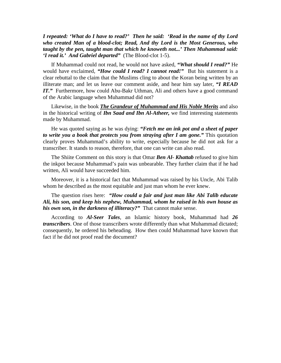*I repeated: 'What do I have to read?' Then he said: 'Read in the name of thy Lord who created Man of a blood-clot; Read, And thy Lord is the Most Generous, who taught by the pen, taught man that which he knoweth not...' Then Muhammad said: 'I read it.' And Gabriel departed"* (The Blood-clot 1-5).

If Muhammad could not read, he would not have asked, *"What should I read?"* He would have exclaimed, *"How could I read? I cannot read!"* But his statement is a clear rebuttal to the claim that the Muslims cling to about the Koran being written by an illiterate man; and let us leave our comment aside, and hear him say later, *"I READ IT.*" Furthermore, how could Abu-Bakr Uthman, Ali and others have a good command of the Arabic language when Muhammad did not?

Likewise, in the book *The Grandeur of Muhammad and His Noble Merits* and also in the historical writing of *Ibn Saad and Ibn Al-Atheer,* we find interesting statements made by Muhammad.

He was quoted saying as he was dying: *"Fetch me an ink pot and a sheet of paper to write you a book that protects you from straying after I am gone."* This quotation clearly proves Muhammad's ability to write, especially because he did not ask for a transcriber. It stands to reason, therefore, that one can write can also read.

The Shiite Comment on this story is that Omar *Ben Al- Khattab* refused to give him the inkpot because Muhammad's pain was unbearable. They further claim that if he had written, Ali would have succeeded him.

Moreover, it is a historical fact that Muhammad was raised by his Uncle, Abi Talib whom he described as the most equitable and just man whom he ever knew.

The question rises here: *"How could a fair and just man like Abi Talib educate Ali, his son, and keep his nephew, Muhammad, whom he raised in his own house as his own son, in the darkness of illiteracy?"* That cannot make sense.

According to *Al-Seer Tales*, an Islamic history book, Muhammad had *26 transcribers*. One of those transcribers wrote differently than what Muhammad dictated; consequently, he ordered his beheading. How then could Muhammad have known that fact if he did not proof read the document?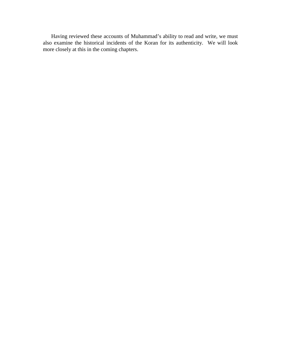Having reviewed these accounts of Muhammad's ability to read and write, we must also examine the historical incidents of the Koran for its authenticity. We will look more closely at this in the coming chapters.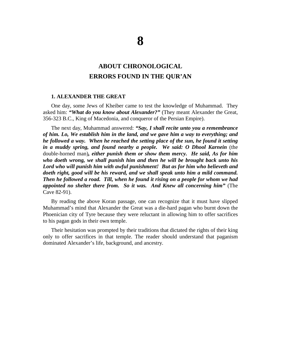# **ABOUT CHRONOLOGICAL ERRORS FOUND IN THE QUR'AN**

#### **1. ALEXANDER THE GREAT**

One day, some Jews of Kheiber came to test the knowledge of Muhammad. They asked him: *"What do you know about Alexander?"* (They meant Alexander the Great, 356-323 B.C., King of Macedonia, and conqueror of the Persian Empire).

The next day, Muhammad answered: *"Say, I shall recite unto you a remembrance of him. Lo, We establish him in the land, and we gave him a way to everything; and he followed a way. When he reached the setting place of the sun, he found it setting in a muddy spring, and found nearby a people. We said: O Dhool Karnein* (the double-horned man)*, either punish them or show them mercy. He said, As for him who doeth wrong, we shall punish him and then he will be brought back unto his Lord who will punish him with awful punishment! But as for him who believeth and doeth right, good will be his reward, and we shall speak unto him a mild command. Then he followed a road. Till, when he found it rising on a people for whom we had appointed no shelter there from. So it was. And Knew all concerning him"* (The Cave 82-91).

By reading the above Koran passage, one can recognize that it must have slipped Muhammad's mind that Alexander the Great was a die-hard pagan who burnt down the Phoenician city of Tyre because they were reluctant in allowing him to offer sacrifices to his pagan gods in their own temple.

Their hesitation was prompted by their traditions that dictated the rights of their king only to offer sacrifices in that temple. The reader should understand that paganism dominated Alexander's life, background, and ancestry.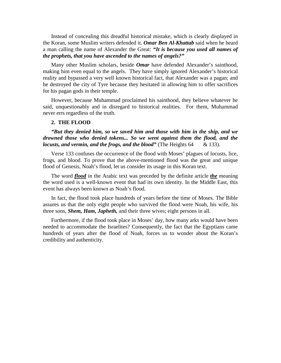Instead of concealing this dreadful historical mistake, which is clearly displayed in the Koran, some Muslim writers defended it. *Omar Ben Al-Khattab* said when he heard a man calling the name of Alexander the Great: *"It is because you used all names of the prophets, that you have ascended to the names of angels?"* 

Many other Muslim scholars, beside *Omar* have defended Alexander's sainthood, making him even equal to the angels. They have simply ignored Alexander's historical reality and bypassed a very well known historical fact, that Alexander was a pagan; and he destroyed the city of Tyre because they hesitated in allowing him to offer sacrifices for his pagan gods in their temple.

However, because Muhammad proclaimed his sainthood, they believe whatever he said, unquestionably and in disregard to historical realities. For them, Muhammad never errs regardless of the truth.

### **2. THE FLOOD**

*"But they denied him, so we saved him and those with him in the ship, and we drowned those who denied tokens... So we went against them the flood, and the locusts, and vermin, and the frogs, and the blood*" (The Heights 64 & 133).

Verse 133 confuses the occurrence of the flood with Moses' plagues of locusts, lice, frogs, and blood. To prove that the above-mentioned flood was the great and unique flood of Genesis, Noah's flood, let us consider its usage in this Koran text.

The word *flood* in the Arabic text was preceded by the definite article *the* meaning the word used is a well-known event that had its own identity. In the Middle East, this event has always been known as Noah's flood.

In fact, the flood took place hundreds of years before the time of Moses. The Bible assures us that the only eight people who survived the flood were Noah, his wife, his three sons, *Shem, Ham, Japheth,* and their three wives; eight persons in all.

Furthermore, if the flood took place in Moses' day, how many arks would have been needed to accommodate the Israelites? Consequently, the fact that the Egyptians came hundreds of years after the flood of Noah, forces us to wonder about the Koran's credibility and authenticity.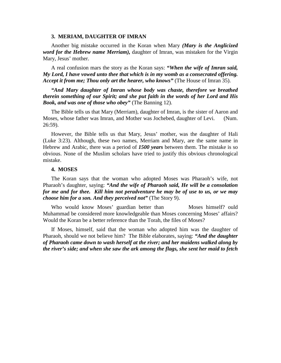#### **3. MERIAM, DAUGHTER OF IMRAN**

Another big mistake occurred in the Koran when Mary *(Mary is the Anglicized word for the Hebrew name Merriam),* daughter of Imran, was mistaken for the Virgin Mary, Jesus' mother.

A real confusion mars the story as the Koran says: *"When the wife of Imran said, My Lord, I have vowed unto thee that which is in my womb as a consecrated offering. Accept it from me; Thou only art the hearer, who knows"* (The House of Imran 35).

*"And Mary daughter of Imran whose body was chaste, therefore we breathed therein something of our Spirit; and she put faith in the words of her Lord and His Book, and was one of those who obey"* (The Banning 12).

The Bible tells us that Mary (Merriam), daughter of Imran, is the sister of Aaron and Moses, whose father was Imran, and Mother was Jochebed, daughter of Levi. (Num. 26:59).

However, the Bible tells us that Mary, Jesus' mother, was the daughter of Hali (Luke 3:23). Although, these two names, Merriam and Mary, are the same name in Hebrew and Arabic, there was a period of *1500 years* between them. The mistake is so obvious. None of the Muslim scholars have tried to justify this obvious chronological mistake.

### **4. MOSES**

The Koran says that the woman who adopted Moses was Pharaoh's wife, not Pharaoh's daughter, saying: *"And the wife of Pharaoh said, He will be a consolation for me and for thee. Kill him not peradventure he may be of use to us, or we may choose him for a son. And they perceived not"* (The Story 9).

Who would know Moses' guardian better than Moses himself? ould Muhammad be considered more knowledgeable than Moses concerning Moses' affairs? Would the Koran be a better reference than the Torah, the files of Moses?

If Moses, himself, said that the woman who adopted him was the daughter of Pharaoh, should we not believe him? The Bible elaborates, saying: *"And the daughter of Pharaoh came down to wash herself at the river; and her maidens walked along by the river's side; and when she saw the ark among the flags, she sent her maid to fetch*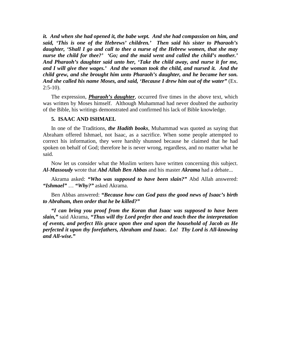*it. And when she had opened it, the babe wept. And she had compassion on him, and said, 'This is one of the Hebrews' children.' Then said his sister to Pharaoh's daughter, 'Shall I go and call to thee a nurse of the Hebrew women, that she may nurse the child for thee?' 'Go; and the maid went and called the child's mother.' And Pharaoh's daughter said unto her, 'Take the child away, and nurse it for me, and I will give thee wages.' And the woman took the child, and nursed it. And the child grew, and she brought him unto Pharaoh's daughter, and he became her son. And she called his name Moses, and said, 'Because I drew him out of the water"* (Ex.  $2:5-10$ ).

The expression, *Pharaoh's daughter*, occurred five times in the above text, which was written by Moses himself. Although Muhammad had never doubted the authority of the Bible, his writings demonstrated and confirmed his lack of Bible knowledge.

### **5. ISAAC AND ISHMAEL**

In one of the Traditions, *the Hadith books*, Muhammad was quoted as saying that Abraham offered Ishmael, not Isaac, as a sacrifice. When some people attempted to correct his information, they were harshly shunned because he claimed that he had spoken on behalf of God; therefore he is never wrong, regardless, and no matter what he said.

Now let us consider what the Muslim writers have written concerning this subject. *Al-Massoudy* wrote that *Abd Allah Ben Abbas* and his master *Akrama* had a debate...

Akrama asked: *"Who was supposed to have been slain?"* Abd Allah answered: *"Ishmael"* … *"Why?"* asked Akrama.

Ben Abbas answered: *"Because how can God pass the good news of Isaac's birth to Abraham, then order that he be killed?"* 

*"I can bring you proof from the Koran that Isaac was supposed to have been slain,"* said Akrama, *"Thus will thy Lord prefer thee and teach thee the interpretation of events, and perfect His grace upon thee and upon the household of Jacob as He perfected it upon thy forefathers, Abraham and Isaac. Lo! Thy Lord is All-knowing and All-wise."*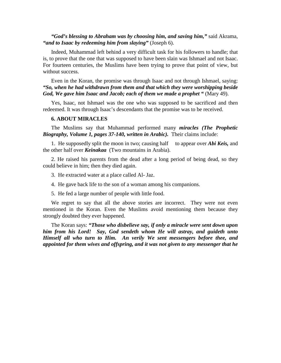# *"God's blessing to Abraham was by choosing him, and saving him,"* said Akrama, *"and to Isaac by redeeming him from slaying"* (Joseph 6).

Indeed, Muhammad left behind a very difficult task for his followers to handle; that is, to prove that the one that was supposed to have been slain was Ishmael and not Isaac. For fourteen centuries, the Muslims have been trying to prove that point of view, but without success.

Even in the Koran, the promise was through Isaac and not through Ishmael, saying: *"So, when he had withdrawn from them and that which they were worshipping beside God, We gave him Isaac and Jacob; each of them we made a prophet "* (Mary 49).

Yes, Isaac, not Ishmael was the one who was supposed to be sacrificed and then redeemed. It was through Isaac's descendants that the promise was to be received.

### **6. ABOUT MIRACLES**

The Muslims say that Muhammad performed many *miracles (The Prophetic Biography, Volume 1, pages 37-140, written in Arabic).* Their claims include:

1. He supposedly split the moon in two; causing half to appear over *Abi Keis,* and the other half over *Keinakaa* (Two mountains in Arabia).

2. He raised his parents from the dead after a long period of being dead, so they could believe in him; then they died again.

3. He extracted water at a place called Al- Jaz.

4. He gave back life to the son of a woman among his companions.

5. He fed a large number of people with little food.

We regret to say that all the above stories are incorrect. They were not even mentioned in the Koran. Even the Muslims avoid mentioning them because they strongly doubted they ever happened.

The Koran says: *"Those who disbelieve say, if only a miracle were sent down upon him from his Lord! Say, God sendeth whom He will astray, and guideth unto Himself all who turn to Him. An verily We sent messengers before thee, and appointed for them wives and offspring, and it was not given to any messenger that he*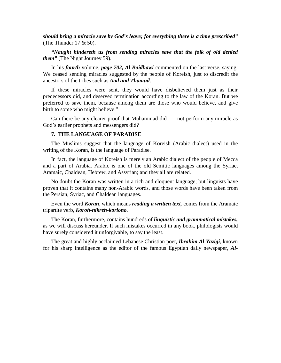*should bring a miracle save by God's leave; for everything there is a time prescribed"* (The Thunder 17 & 50).

*"Naught hindereth us from sending miracles save that the folk of old denied them"* (The Night Journey 59).

In his *fourth* volume, *page 702, Al Baidhawi* commented on the last verse, saying: We ceased sending miracles suggested by the people of Koreish, just to discredit the ancestors of the tribes such as *Aad and Thamud*.

If these miracles were sent, they would have disbelieved them just as their predecessors did, and deserved termination according to the law of the Koran. But we preferred to save them, because among them are those who would believe, and give birth to some who might believe."

Can there be any clearer proof that Muhammad did not perform any miracle as God's earlier prophets and messengers did?

### **7. THE LANGUAGE OF PARADISE**

The Muslims suggest that the language of Koreish (Arabic dialect) used in the writing of the Koran, is the language of Paradise.

In fact, the language of Koreish is merely an Arabic dialect of the people of Mecca and a part of Arabia. Arabic is one of the old Semitic languages among the Syriac, Aramaic, Chaldean, Hebrew, and Assyrian; and they all are related.

No doubt the Koran was written in a rich and eloquent language; but linguists have proven that it contains many non-Arabic words, and those words have been taken from the Persian, Syriac, and Chaldean languages.

Even the word *Koran*, which means *reading a written text,* comes from the Aramaic tripartite verb, *Koroh-nikreh-koriono.*

The Koran, furthermore, contains hundreds of *linguistic and grammatical mistakes,* as we will discuss hereunder. If such mistakes occurred in any book, philologists would have surely considered it unforgivable, to say the least.

The great and highly acclaimed Lebanese Christian poet, *Ibrahim Al Yazigi*, known for his sharp intelligence as the editor of the famous Egyptian daily newspaper, *Al-*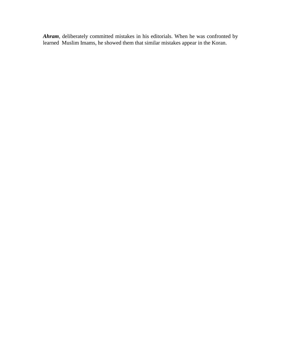*Ahram*, deliberately committed mistakes in his editorials. When he was confronted by learned Muslim Imams, he showed them that similar mistakes appear in the Koran.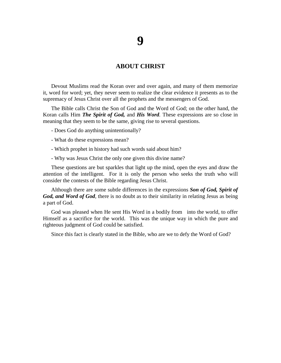# **ABOUT CHRIST**

Devout Muslims read the Koran over and over again, and many of them memorize it, word for word; yet, they never seem to realize the clear evidence it presents as to the supremacy of Jesus Christ over all the prophets and the messengers of God.

The Bible calls Christ the Son of God and the Word of God; on the other hand, the Koran calls Him *The Spirit of God,* and *His Word.* These expressions are so close in meaning that they seem to be the same, giving rise to several questions.

- Does God do anything unintentionally?
- What do these expressions mean?
- Which prophet in history had such words said about him?
- Why was Jesus Christ the only one given this divine name?

These questions are but sparkles that light up the mind, open the eyes and draw the attention of the intelligent. For it is only the person who seeks the truth who will consider the contests of the Bible regarding Jesus Christ.

Although there are some subtle differences in the expressions *Son of God, Spirit of God, and Word of God,* there is no doubt as to their similarity in relating Jesus as being a part of God.

God was pleased when He sent His Word in a bodily from into the world, to offer Himself as a sacrifice for the world. This was the unique way in which the pure and righteous judgment of God could be satisfied.

Since this fact is clearly stated in the Bible, who are we to defy the Word of God?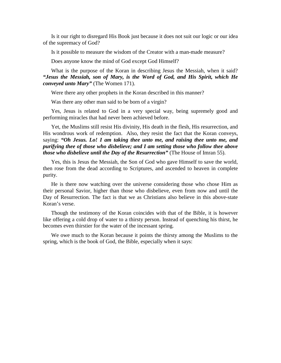Is it our right to disregard His Book just because it does not suit our logic or our idea of the supremacy of God?

Is it possible to measure the wisdom of the Creator with a man-made measure?

Does anyone know the mind of God except God Himself?

What is the purpose of the Koran in describing Jesus the Messiah, when it said? *"Jesus the Messiah, son of Mary, is the Word of God, and His Spirit, which He conveyed unto Mary"* (The Women 171).

Were there any other prophets in the Koran described in this manner?

Was there any other man said to be born of a virgin?

Yes, Jesus is related to God in a very special way, being supremely good and performing miracles that had never been achieved before.

Yet, the Muslims still resist His divinity, His death in the flesh, His resurrection, and His wondrous work of redemption. Also, they resist the fact that the Koran conveys, saying: *"Oh Jesus. Lo! I am taking thee unto me, and raising thee unto me, and purifying thee of those who disbelieve; and I am setting those who follow thee above those who disbelieve until the Day of the Resurrection"* (The House of Imran 55).

Yes, this is Jesus the Messiah, the Son of God who gave Himself to save the world, then rose from the dead according to Scriptures, and ascended to heaven in complete purity.

He is there now watching over the universe considering those who chose Him as their personal Savior, higher than those who disbelieve, even from now and until the Day of Resurrection. The fact is that we as Christians also believe in this above-state Koran's verse.

Though the testimony of the Koran coincides with that of the Bible, it is however like offering a cold drop of water to a thirsty person. Instead of quenching his thirst, he becomes even thirstier for the water of the incessant spring.

We owe much to the Koran because it points the thirsty among the Muslims to the spring, which is the book of God, the Bible, especially when it says: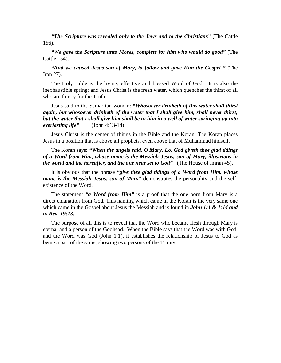*"The Scripture was revealed only to the Jews and to the Christians"* (The Cattle 156).

*"We gave the Scripture unto Moses, complete for him who would do good"* (The Cattle 154).

*"And we caused Jesus son of Mary, to follow and gave Him the Gospel "* (The Iron 27).

The Holy Bible is the living, effective and blessed Word of God. It is also the inexhaustible spring; and Jesus Christ is the fresh water, which quenches the thirst of all who are thirsty for the Truth.

Jesus said to the Samaritan woman: *"Whosoever drinketh of this water shall thirst again, but whosoever drinketh of the water that I shall give him, shall never thirst; but the water that I shall give him shall be in him in a well of water springing up into everlasting life"* (John 4:13-14).

Jesus Christ is the center of things in the Bible and the Koran. The Koran places Jesus in a position that is above all prophets, even above that of Muhammad himself.

The Koran says: *"When the angels said, O Mary, Lo, God giveth thee glad tidings of a Word from Him, whose name is the Messiah Jesus, son of Mary, illustrious in the world and the hereafter, and the one near set to God"* (The House of Imran 45).

It is obvious that the phrase *"give thee glad tidings of a Word from Him, whose name is the Messiah Jesus, son of Mary"* demonstrates the personality and the selfexistence of the Word.

The statement *"a Word from Him"* is a proof that the one born from Mary is a direct emanation from God. This naming which came in the Koran is the very same one which came in the Gospel about Jesus the Messiah and is found in *John 1:1 & 1:14 and in Rev. 19:13.*

The purpose of all this is to reveal that the Word who became flesh through Mary is eternal and a person of the Godhead. When the Bible says that the Word was with God, and the Word was God (John 1:1), it establishes the relationship of Jesus to God as being a part of the same, showing two persons of the Trinity.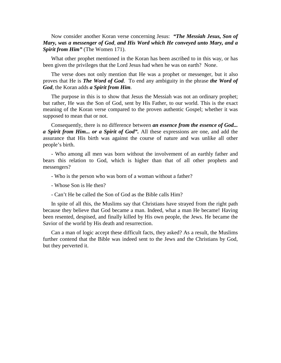Now consider another Koran verse concerning Jesus: *"The Messiah Jesus, Son of Mary, was a messenger of God, and His Word which He conveyed unto Mary, and a Spirit from Him"* (The Women 171).

What other prophet mentioned in the Koran has been ascribed to in this way, or has been given the privileges that the Lord Jesus had when he was on earth? None.

The verse does not only mention that He was a prophet or messenger, but it also proves that He is *The Word of God*. To end any ambiguity in the phrase *the Word of God*, the Koran adds *a Spirit from Him.* 

The purpose in this is to show that Jesus the Messiah was not an ordinary prophet; but rather, He was the Son of God, sent by His Father, to our world. This is the exact meaning of the Koran verse compared to the proven authentic Gospel; whether it was supposed to mean that or not.

Consequently, there is no difference between *an essence from the essence of God... a Spirit from Him... or a Spirit of God".* All these expressions are one, and add the assurance that His birth was against the course of nature and was unlike all other people's birth.

- Who among all men was born without the involvement of an earthly father and bears this relation to God, which is higher than that of all other prophets and messengers?

- Who is the person who was born of a woman without a father?

- Whose Son is He then?
- Can't He be called the Son of God as the Bible calls Him?

In spite of all this, the Muslims say that Christians have strayed from the right path because they believe that God became a man. Indeed, what a man He became! Having been resented, despised, and finally killed by His own people, the Jews. He became the Savior of the world by His death and resurrection.

Can a man of logic accept these difficult facts, they asked? As a result, the Muslims further contend that the Bible was indeed sent to the Jews and the Christians by God, but they perverted it.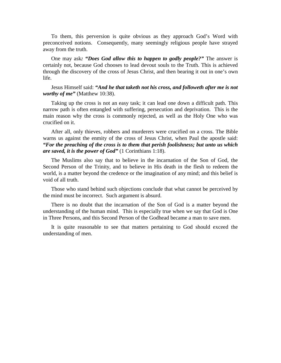To them, this perversion is quite obvious as they approach God's Word with preconceived notions. Consequently, many seemingly religious people have strayed away from the truth.

One may ask*: "Does God allow this to happen to godly people?"* The answer is certainly not, because God chooses to lead devout souls to the Truth. This is achieved through the discovery of the cross of Jesus Christ, and then bearing it out in one's own life.

## Jesus Himself said: *"And he that taketh not his cross, and followeth after me is not worthy of me"* (Matthew 10:38).

Taking up the cross is not an easy task; it can lead one down a difficult path. This narrow path is often entangled with suffering, persecution and deprivation. This is the main reason why the cross is commonly rejected, as well as the Holy One who was crucified on it.

After all, only thieves, robbers and murderers were crucified on a cross. The Bible warns us against the enmity of the cross of Jesus Christ, when Paul the apostle said: *"For the preaching of the cross is to them that perish foolishness; but unto us which are saved, it is the power of God"* (1 Corinthians 1:18).

The Muslims also say that to believe in the incarnation of the Son of God, the Second Person of the Trinity, and to believe in His death in the flesh to redeem the world, is a matter beyond the credence or the imagination of any mind; and this belief is void of all truth.

Those who stand behind such objections conclude that what cannot be perceived by the mind must be incorrect. Such argument is absurd.

There is no doubt that the incarnation of the Son of God is a matter beyond the understanding of the human mind. This is especially true when we say that God is One in Three Persons, and this Second Person of the Godhead became a man to save men.

It is quite reasonable to see that matters pertaining to God should exceed the understanding of men.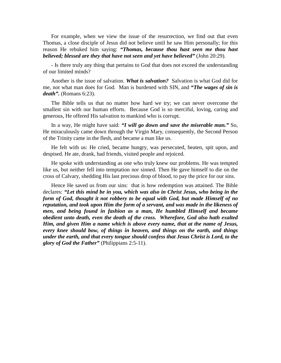For example, when we view the issue of the resurrection, we find out that even Thomas, a close disciple of Jesus did not believe until he saw Him personally; for this reason He rebuked him saying: *"Thomas, because thou hast seen me thou hast believed; blessed are they that have not seen and yet have believed"* (John 20:29).

- Is there truly any thing that pertains to God that does not exceed the understanding of our limited minds?

Another is the issue of salvation. *What is salvation?* Salvation is what God did for me, not what man does for God. Man is burdened with SIN, and *"The wages of sin is death".* (Romans 6:23).

The Bible tells us that no matter how hard we try; we can never overcome the smallest sin with our human efforts. Because God is so merciful, loving, caring and generous, He offered His salvation to mankind who is corrupt.

In a way, He might have said: *"I will go down and save the miserable man."* So, He miraculously came down through the Virgin Mary, consequently, the Second Person of the Trinity came in the flesh, and became a man like us.

He felt with us: He cried, became hungry, was persecuted, beaten, spit upon, and despised. He ate, drank, had friends, visited people and rejoiced.

He spoke with understanding as one who truly knew our problems. He was tempted like us, but neither fell into temptation nor sinned. Then He gave himself to die on the cross of Calvary, shedding His last precious drop of blood, to pay the price for our sins.

Hence He saved us from our sins: that is how redemption was attained. The Bible declares: *"Let this mind be in you, which was also in Christ Jesus, who being in the form of God, thought it not robbery to be equal with God, but made Himself of no reputation, and took upon Him the form of a servant, and was made in the likeness of men, and being found in fashion as a man, He humbled Himself and became obedient unto death, even the death of the cross. Wherefore, God also hath exalted Him, and given Him a name which is above every name, that at the name of Jesus, every knee should bow, of things in heaven, and things on the earth, and things under the earth, and that every tongue should confess that Jesus Christ is Lord, to the glory of God the Father"* (Philippians 2:5-11).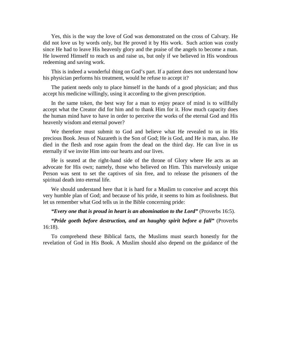Yes, this is the way the love of God was demonstrated on the cross of Calvary. He did not love us by words only, but He proved it by His work. Such action was costly since He had to leave His heavenly glory and the praise of the angels to become a man. He lowered Himself to reach us and raise us, but only if we believed in His wondrous redeeming and saving work.

This is indeed a wonderful thing on God's part. If a patient does not understand how his physician performs his treatment, would he refuse to accept it?

The patient needs only to place himself in the hands of a good physician; and thus accept his medicine willingly, using it according to the given prescription.

In the same token, the best way for a man to enjoy peace of mind is to willfully accept what the Creator did for him and to thank Him for it. How much capacity does the human mind have to have in order to perceive the works of the eternal God and His heavenly wisdom and eternal power?

We therefore must submit to God and believe what He revealed to us in His precious Book. Jesus of Nazareth is the Son of God; He is God, and He is man, also. He died in the flesh and rose again from the dead on the third day. He can live in us eternally if we invite Him into our hearts and our lives.

He is seated at the right-hand side of the throne of Glory where He acts as an advocate for His own; namely, those who believed on Him. This marvelously unique Person was sent to set the captives of sin free, and to release the prisoners of the spiritual death into eternal life.

We should understand here that it is hard for a Muslim to conceive and accept this very humble plan of God; and because of his pride, it seems to him as foolishness. But let us remember what God tells us in the Bible concerning pride:

### *"Every one that is proud in heart is an abomination to the Lord"* (Proverbs 16:5).

*"Pride goeth before destruction, and an haughty spirit before a fall"* (Proverbs 16:18).

To comprehend these Biblical facts, the Muslims must search honestly for the revelation of God in His Book. A Muslim should also depend on the guidance of the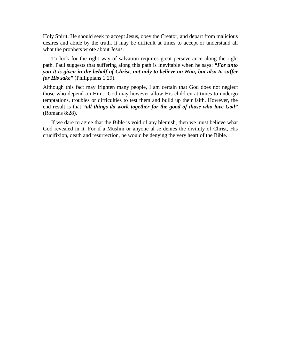Holy Spirit. He should seek to accept Jesus, obey the Creator, and depart from malicious desires and abide by the truth. It may be difficult at times to accept or understand all what the prophets wrote about Jesus.

To look for the right way of salvation requires great perseverance along the right path. Paul suggests that suffering along this path is inevitable when he says: *"For unto you it is given in the behalf of Christ, not only to believe on Him, but also to suffer for His sake"* (Philippians 1:29).

Although this fact may frighten many people, I am certain that God does not neglect those who depend on Him. God may however allow His children at times to undergo temptations, troubles or difficulties to test them and build up their faith. However, the end result is that *"all things do work together for the good of those who love God"* (Romans 8:28).

If we dare to agree that the Bible is void of any blemish, then we must believe what God revealed in it. For if a Muslim or anyone al se denies the divinity of Christ, His crucifixion, death and resurrection, he would be denying the very heart of the Bible.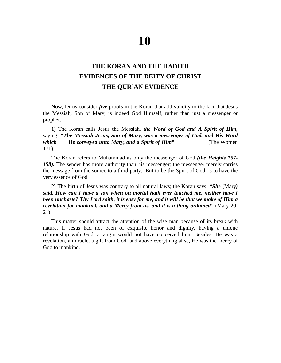# **THE KORAN AND THE HADITH EVIDENCES OF THE DEITY OF CHRIST THE QUR'AN EVIDENCE**

Now, let us consider *five* proofs in the Koran that add validity to the fact that Jesus the Messiah, Son of Mary, is indeed God Himself, rather than just a messenger or prophet.

1) The Koran calls Jesus the Messiah, *the Word of God and A Spirit of Him,* saying: *"The Messiah Jesus, Son of Mary, was a messenger of God, and His Word which He conveyed unto Mary, and a Spirit of Him"* (The Women 171).

The Koran refers to Muhammad as only the messenger of God *(the Heights 157- 158).* The sender has more authority than his messenger; the messenger merely carries the message from the source to a third party. But to be the Spirit of God, is to have the very essence of God.

2) The birth of Jesus was contrary to all natural laws; the Koran says: *"She* (Mary*) said, How can I have a son when on mortal hath ever touched me, neither have I been unchaste? Thy Lord saith, it is easy for me, and it will be that we make of Him a revelation for mankind, and a Mercy from us, and it is a thing ordained"* (Mary 20- 21).

This matter should attract the attention of the wise man because of its break with nature. If Jesus had not been of exquisite honor and dignity, having a unique relationship with God, a virgin would not have conceived him. Besides, He was a revelation, a miracle, a gift from God; and above everything al se, He was the mercy of God to mankind.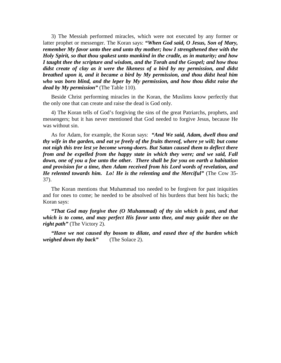3) The Messiah performed miracles, which were not executed by any former or latter prophet or messenger. The Koran says: *"When God said, O Jesus, Son of Mary, remember My favor unto thee and unto thy mother; how I strengthened thee with the Holy Spirit, so that thou spakest unto mankind in the cradle, as in maturity; and how I taught thee the scripture and wisdom, and the Torah and the Gospel; and how thou didst create of clay as it were the likeness of a bird by my permission, and didst breathed upon it, and it became a bird by My permission, and thou didst heal him who was born blind, and the leper by My permission, and how thou didst raise the dead by My permission"* (The Table 110).

Beside Christ performing miracles in the Koran, the Muslims know perfectly that the only one that can create and raise the dead is God only.

4) The Koran tells of God's forgiving the sins of the great Patriarchs, prophets, and messengers; but it has never mentioned that God needed to forgive Jesus, because He was without sin.

As for Adam, for example, the Koran says: *"And We said, Adam, dwell thou and thy wife in the garden, and eat ye freely of the fruits thereof, where ye will; but come not nigh this tree lest ye become wrong-doers. But Satan caused them to deflect there from and be expelled from the happy state in which they were; and we said, Fall down, one of you a foe unto the other. There shall be for you on earth a habitation and provision for a time, then Adam received from his Lord words of revelation, and He relented towards him. Lo! He is the relenting and the Merciful"* (The Cow 35- 37).

The Koran mentions that Muhammad too needed to be forgiven for past iniquities and for ones to come; he needed to be absolved of his burdens that bent his back; the Koran says:

*"That God may forgive thee (O Muhammad) of thy sin which is past, and that which is to come, and may perfect His favor unto thee, and may guide thee on the right path"* (The Victory 2).

*"Have we not caused thy bosom to dilate, and eased thee of the burden which weighed down thy back"* (The Solace 2).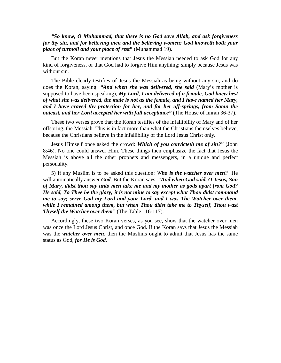*"So know, O Muhammad, that there is no God save Allah, and ask forgiveness for thy sin, and for believing men and the believing women; God knoweth both your place of turmoil and your place of rest"* (Muhammad 19).

But the Koran never mentions that Jesus the Messiah needed to ask God for any kind of forgiveness, or that God had to forgive Him anything; simply because Jesus was without sin.

The Bible clearly testifies of Jesus the Messiah as being without any sin, and do does the Koran, saying: *"And when she was delivered, she said* (Mary's mother is supposed to have been speaking), *My Lord, I am delivered of a female, God knew best of what she was delivered, the male is not as the female, and I have named her Mary, and I have craved thy protection for her, and for her off-springs, from Satan the outcast, and her Lord accepted her with full acceptance"* (The House of Imran 36-37).

These two verses prove that the Koran testifies of the infallibility of Mary and of her offspring, the Messiah. This is in fact more than what the Christians themselves believe, because the Christians believe in the infallibility of the Lord Jesus Christ only.

Jesus Himself once asked the crowd: *Which of you convicteth me of sin?"* (John 8:46). No one could answer Him. These things then emphasize the fact that Jesus the Messiah is above all the other prophets and messengers, in a unique and perfect personality.

5) If any Muslim is to be asked this question: *Who is the watcher over men?* He will automatically answer *God*. But the Koran says: *"And when God said, O Jesus, Son of Mary, didst thou say unto men take me and my mother as gods apart from God? He said, To Thee be the glory; it is not mine to say except what Thou didst command me to say; serve God my Lord and your Lord, and I was The Watcher over them, while I remained among them, but when Thou didst take me to Thyself, Thou wast Thyself the Watcher over them"* (The Table 116-117).

Accordingly, these two Koran verses, as you see, show that the watcher over men was once the Lord Jesus Christ, and once God. If the Koran says that Jesus the Messiah was the *watcher over men*, then the Muslims ought to admit that Jesus has the same status as God, *for He is God.*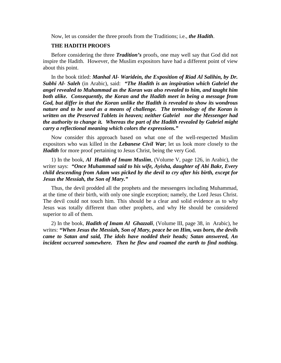Now, let us consider the three proofs from the Traditions; i.e., *the Hadith*.

# **THE HADITH PROOFS**

Before considering the three *Tradition's* proofs, one may well say that God did not inspire the Hadith. However, the Muslim expositors have had a different point of view about this point.

In the book titled: *Manhal Al- Waridein, the Exposition of Riad Al Salihin, by Dr. Subhi Al- Saleh* (in Arabic), said: *"The Hadith is an inspiration which Gabriel the angel revealed to Muhammad as the Koran was also revealed to him, and taught him both alike. Consequently, the Koran and the Hadith meet in being a message from God, but differ in that the Koran unlike the Hadith is revealed to show its wondrous nature and to be used as a means of challenge. The terminology of the Koran is written on the Preserved Tablets in heaven; neither Gabriel nor the Messenger had the authority to change it. Whereas the part of the Hadith revealed by Gabriel might carry a reflectional meaning which colors the expressions."* 

Now consider this approach based on what one of the well-respected Muslim expositors who was killed in the *Lebanese Civil War*; let us look more closely to the *Hadith* for more proof pertaining to Jesus Christ, being the very God.

1) In the book, *Al Hadith of Imam Muslim,* (Volume V, page 126, in Arabic), the writer says: *"Once Muhammad said to his wife, Ayisha, daughter of Abi Bakr, Every child descending from Adam was picked by the devil to cry after his birth, except for Jesus the Messiah, the Son of Mary."* 

Thus, the devil prodded all the prophets and the messengers including Muhammad, at the time of their birth, with only one single exception; namely, the Lord Jesus Christ. The devil could not touch him. This should be a clear and solid evidence as to why Jesus was totally different than other prophets, and why He should be considered superior to all of them.

2) In the book, *Hadith of Imam Al Ghazzali,* (Volume III, page 38, in Arabic), he writes: *"When Jesus the Messiah, Son of Mary, peace be on Him, was born, the devils came to Satan and said, The idols have nodded their heads; Satan answered, An incident occurred somewhere. Then he flew and roamed the earth to find nothing.*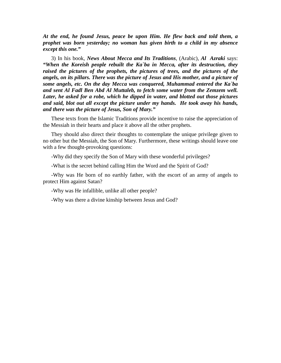*At the end, he found Jesus, peace be upon Him. He flew back and told them, a prophet was born yesterday; no woman has given birth to a child in my absence except this one."* 

3) In his book, *News About Mecca and Its Traditions*, (Arabic), *Al Azraki* says: *"When the Koreish people rebuilt the Ka`ba in Mecca, after its destruction, they raised the pictures of the prophets, the pictures of trees, and the pictures of the angels, on its pillars. There was the picture of Jesus and His mother, and a picture of some angels, etc. On the day Mecca was conquered, Muhammad entered the Ka`ba and sent Al Fadl Ben Abd Al Muttaleb, to fetch some water from the Zemzem well. Later, he asked for a robe, which he dipped in water, and blotted out those pictures and said, blot out all except the picture under my hands. He took away his hands, and there was the picture of Jesus, Son of Mary."* 

These texts from the Islamic Traditions provide incentive to raise the appreciation of the Messiah in their hearts and place it above all the other prophets.

They should also direct their thoughts to contemplate the unique privilege given to no other but the Messiah, the Son of Mary. Furthermore, these writings should leave one with a few thought-provoking questions:

-Why did they specify the Son of Mary with these wonderful privileges?

-What is the secret behind calling Him the Word and the Spirit of God?

-Why was He born of no earthly father, with the escort of an army of angels to protect Him against Satan?

-Why was He infallible, unlike all other people?

-Why was there a divine kinship between Jesus and God?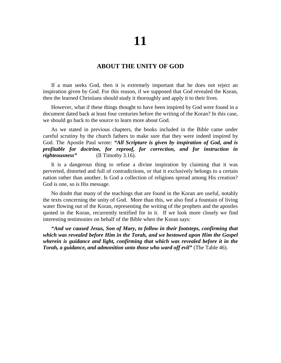# **ABOUT THE UNITY OF GOD**

If a man seeks God, then it is extremely important that he does not reject an inspiration given by God. For this reason, if we supposed that God revealed the Koran, then the learned Christians should study it thoroughly and apply it to their lives.

However, what if these things thought to have been inspired by God were found in a document dated back at least four centuries before the writing of the Koran? In this case, we should go back to the source to learn more about God.

As we stated in previous chapters, the books included in the Bible came under careful scrutiny by the church fathers to make sure that they were indeed inspired by God. The Apostle Paul wrote: *"All Scripture is given by inspiration of God, and is profitable for doctrine, for reproof, for correction, and for instruction in righteousness"* (II Timothy 3.16).

It is a dangerous thing to refuse a divine inspiration by claiming that it was perverted, distorted and full of contradictions, or that it exclusively belongs to a certain nation rather than another. Is God a collection of religions spread among His creation? God is one, so is His message.

No doubt that many of the teachings that are found in the Koran are useful, notably the texts concerning the unity of God. More than this, we also find a fountain of living water flowing out of the Koran, representing the writing of the prophets and the apostles quoted in the Koran, recurrently testified for in it. If we look more closely we find interesting testimonies on behalf of the Bible when the Koran says:

*"And we caused Jesus, Son of Mary, to follow in their footsteps, confirming that which was revealed before Him in the Torah, and we bestowed upon Him the Gospel wherein is guidance and light, confirming that which was revealed before it in the Torah, a guidance, and admonition unto those who ward off evil"* (The Table 46).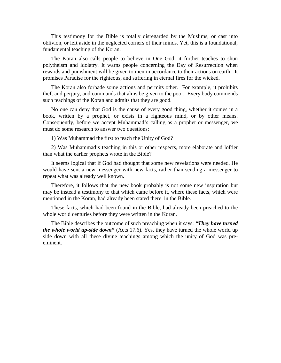This testimony for the Bible is totally disregarded by the Muslims, or cast into oblivion, or left aside in the neglected corners of their minds. Yet, this is a foundational, fundamental teaching of the Koran.

The Koran also calls people to believe in One God; it further teaches to shun polytheism and idolatry. It warns people concerning the Day of Resurrection when rewards and punishment will be given to men in accordance to their actions on earth. It promises Paradise for the righteous, and suffering in eternal fires for the wicked.

The Koran also forbade some actions and permits other. For example, it prohibits theft and perjury, and commands that alms be given to the poor. Every body commends such teachings of the Koran and admits that they are good.

No one can deny that God is the cause of every good thing, whether it comes in a book, written by a prophet, or exists in a righteous mind, or by other means. Consequently, before we accept Muhammad's calling as a prophet or messenger, we must do some research to answer two questions:

1) Was Muhammad the first to teach the Unity of God?

2) Was Muhammad's teaching in this or other respects, more elaborate and loftier than what the earlier prophets wrote in the Bible?

It seems logical that if God had thought that some new revelations were needed, He would have sent a new messenger with new facts, rather than sending a messenger to repeat what was already well known.

Therefore, it follows that the new book probably is not some new inspiration but may be instead a testimony to that which came before it, where these facts, which were mentioned in the Koran, had already been stated there, in the Bible.

These facts, which had been found in the Bible, had already been preached to the whole world centuries before they were written in the Koran.

The Bible describes the outcome of such preaching when it says: *"They have turned the whole world up-side down"* (Acts 17.6). Yes, they have turned the whole world up side down with all these divine teachings among which the unity of God was preeminent.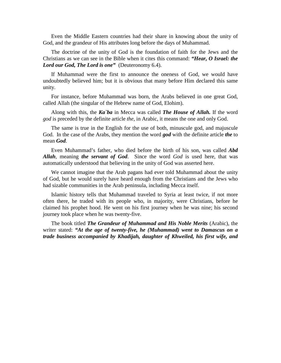Even the Middle Eastern countries had their share in knowing about the unity of God, and the grandeur of His attributes long before the days of Muhammad.

The doctrine of the unity of God is the foundation of faith for the Jews and the Christians as we can see in the Bible when it cites this command: *"Hear, O Israel: the Lord our God, The Lord is one"* (Deuteronomy 6.4).

If Muhammad were the first to announce the oneness of God, we would have undoubtedly believed him; but it is obvious that many before Him declared this same unity.

For instance, before Muhammad was born, the Arabs believed in one great God, called Allah (the singular of the Hebrew name of God, Elohim).

Along with this, the *Ka`ba* in Mecca was called *The House of Allah.* If the word *god* is preceded by the definite article *the*, in Arabic, it means the one and only God.

The same is true in the English for the use of both, minuscule god, and majuscule God. In the case of the Arabs, they mention the word *god* with the definite article *the* to mean *God*.

Even Muhammad's father, who died before the birth of his son, was called *Abd Allah*, meaning *the servant of God*. Since the word *God* is used here, that was automatically understood that believing in the unity of God was asserted here.

We cannot imagine that the Arab pagans had ever told Muhammad about the unity of God, but he would surely have heard enough from the Christians and the Jews who had sizable communities in the Arab peninsula, including Mecca itself.

Islamic history tells that Muhammad traveled to Syria at least twice, if not more often there, he traded with its people who, in majority, were Christians, before he claimed his prophet hood. He went on his first journey when he was nine; his second journey took place when he was twenty-five.

The book titled *The Grandeur of Muhammad and His Noble Merits* (Arabic), the writer stated: *"At the age of twenty-five, he (Muhammad) went to Damascus on a trade business accompanied by Khadijah, daughter of Khweiled, his first wife, and*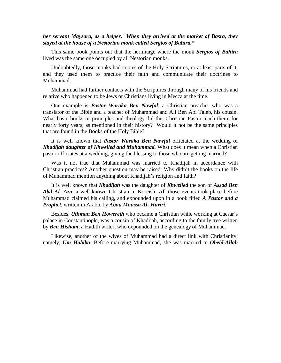# *her servant Maysara, as a helper. When they arrived at the market of Basra, they stayed at the house of a Nestorian monk called Sergios of Bahira."*

This same book points out that the hermitage where the monk *Sergios of Bahira*  lived was the same one occupied by all Nestorian monks.

Undoubtedly, those monks had copies of the Holy Scriptures, or at least parts of it; and they used them to practice their faith and communicate their doctrines to Muhammad.

Muhammad had further contacts with the Scriptures through many of his friends and relative who happened to be Jews or Christians living in Mecca at the time.

One example is *Pastor Waraka Ben Nawfal*, a Christian preacher who was a translator of the Bible and a teacher of Muhammad and Ali Ben Abi Taleb, his cousin. What basic books or principles and theology did this Christian Pastor teach them, for nearly forty years, as mentioned in their history? Would it not be the same principles that are found in the Books of the Holy Bible?

It is well known that *Pastor Waraka Ben Nawfal* officiated at the wedding of *Khadijah daughter of Khweiled and Muhammad.* What does it mean when a Christian pastor officiates at a wedding, giving the blessing to those who are getting married?

Was it not true that Muhammad was married to Khadijah in accordance with Christian practices? Another question may be raised: Why didn't the books on the life of Muhammad mention anything about Khadijah's religion and faith?

It is well known that *Khadijah* was the daughter of *Khweiled* the son of *Assad Ben Abd Al- Aza*, a well-known Christian in Koreish. All those events took place before Muhammad claimed his calling, and expounded upon in a book titled *A Pastor and a Prophet*, written in Arabic by *Abou Moussa Al- Hariri*.

Besides, *Uthman Ben Howereth* who became a Christian while working at Caesar's palace in Constantinople, was a cousin of Khadijah, according to the family tree written by *Ben Hisham*, a Hadith writer, who expounded on the genealogy of Muhammad.

Likewise, another of the wives of Muhammad had a direct link with Christianity; namely, *Um Habiba*. Before marrying Muhammad, she was married to *Obeid-Allah*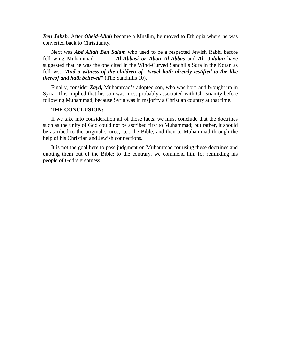*Ben Jahsh*. After *Obeid-Allah* became a Muslim, he moved to Ethiopia where he was converted back to Christianity.

Next was *Abd Allah Ben Salam* who used to be a respected Jewish Rabbi before following Muhammad. *Al-Abbasi or Abou Al-Abbas* and *Al- Jalalan* have suggested that he was the one cited in the Wind-Curved Sandhills Sura in the Koran as follows: *"And a witness of the children of Israel hath already testified to the like thereof and hath believed"* (The Sandhills 10).

Finally, consider *Zayd,* Muhammad's adopted son, who was born and brought up in Syria. This implied that his son was most probably associated with Christianity before following Muhammad, because Syria was in majority a Christian country at that time.

# **THE CONCLUSION:**

If we take into consideration all of those facts, we must conclude that the doctrines such as the unity of God could not be ascribed first to Muhammad; but rather, it should be ascribed to the original source; i.e., the Bible, and then to Muhammad through the help of his Christian and Jewish connections.

It is not the goal here to pass judgment on Muhammad for using these doctrines and quoting them out of the Bible; to the contrary, we commend him for reminding his people of God's greatness.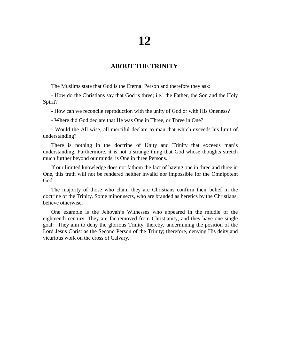# **ABOUT THE TRINITY**

The Muslims state that God is the Eternal Person and therefore they ask:

- How do the Christians say that God is three; i.e., the Father, the Son and the Holy Spirit?

- How can we reconcile reproduction with the unity of God or with His Oneness?

- Where did God declare that He was One in Three, or Three in One?

- Would the All wise, all merciful declare to man that which exceeds his limit of understanding?

There is nothing in the doctrine of Unity and Trinity that exceeds man's understanding. Furthermore, it is not a strange thing that God whose thoughts stretch much further beyond our minds, is One in three Persons.

If our limited knowledge does not fathom the fact of having one in three and three in One, this truth will not be rendered neither invalid nor impossible for the Omnipotent God.

The majority of those who claim they are Christians confirm their belief in the doctrine of the Trinity. Some minor sects, who are branded as heretics by the Christians, believe otherwise.

One example is the Jehovah's Witnesses who appeared in the middle of the eighteenth century. They are far removed from Christianity, and they have one single goal: They aim to deny the glorious Trinity, thereby, undermining the position of the Lord Jesus Christ as the Second Person of the Trinity; therefore, denying His deity and vicarious work on the cross of Calvary.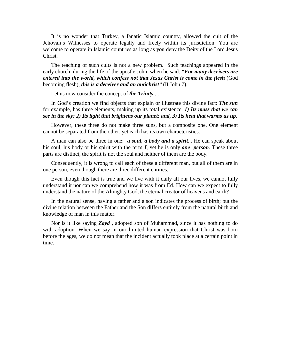It is no wonder that Turkey, a fanatic Islamic country, allowed the cult of the Jehovah's Witnesses to operate legally and freely within its jurisdiction. You are welcome to operate in Islamic countries as long as you deny the Deity of the Lord Jesus Christ.

The teaching of such cults is not a new problem. Such teachings appeared in the early church, during the life of the apostle John, when he said: *"For many deceivers are*  entered into the world, which confess not that Jesus Christ is come in the flesh (God becoming flesh), *this is a deceiver and an antichrist"* (II John 7).

Let us now consider the concept of *the Trinity*....

In God's creation we find objects that explain or illustrate this divine fact: *The sun* for example, has three elements, making up its total existence. *1) Its mass that we can see in the sky; 2) Its light that brightens our planet; and, 3) Its heat that warms us up.*

However, these three do not make three suns, but a composite one. One element cannot be separated from the other, yet each has its own characteristics.

A man can also be three in one: *a soul, a body and a spirit*... He can speak about his soul, his body or his spirit with the term *I*, yet he is only *one person*. These three parts are distinct, the spirit is not the soul and neither of them are the body.

Consequently, it is wrong to call each of these a different man, but all of them are in one person, even though there are three different entities.

Even though this fact is true and we live with it daily all our lives, we cannot fully understand it nor can we comprehend how it was from Ed. How can we expect to fully understand the nature of the Almighty God, the eternal creator of heavens and earth?

In the natural sense, having a father and a son indicates the process of birth; but the divine relation between the Father and the Son differs entirely from the natural birth and knowledge of man in this matter.

Nor is it like saying *Zayd* , adopted son of Muhammad, since it has nothing to do with adoption. When we say in our limited human expression that Christ was born before the ages, we do not mean that the incident actually took place at a certain point in time.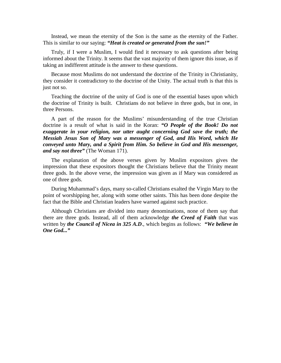Instead, we mean the eternity of the Son is the same as the eternity of the Father. This is similar to our saying: *"Heat is created or generated from the sun!"*

Truly, if I were a Muslim, I would find it necessary to ask questions after being informed about the Trinity. It seems that the vast majority of them ignore this issue, as if taking an indifferent attitude is the answer to these questions.

Because most Muslims do not understand the doctrine of the Trinity in Christianity, they consider it contradictory to the doctrine of the Unity. The actual truth is that this is just not so.

Teaching the doctrine of the unity of God is one of the essential bases upon which the doctrine of Trinity is built. Christians do not believe in three gods, but in one, in three Persons.

A part of the reason for the Muslims' misunderstanding of the true Christian doctrine is a result of what is said in the Koran: *"O People of the Book! Do not exaggerate in your religion, nor utter aught concerning God save the truth; the Messiah Jesus Son of Mary was a messenger of God, and His Word, which He conveyed unto Mary, and a Spirit from Him. So believe in God and His messenger, and say not three"* (The Woman 171).

The explanation of the above verses given by Muslim expositors gives the impression that these expositors thought the Christians believe that the Trinity meant three gods. In the above verse, the impression was given as if Mary was considered as one of three gods.

During Muhammad's days, many so-called Christians exalted the Virgin Mary to the point of worshipping her, along with some other saints. This has been done despite the fact that the Bible and Christian leaders have warned against such practice.

Although Christians are divided into many denominations, none of them say that there are three gods. Instead, all of them acknowledge *the Creed of Faith* that was written by *the Council of Nicea in 325 A.D*., which begins as follows: *"We believe in One God..."*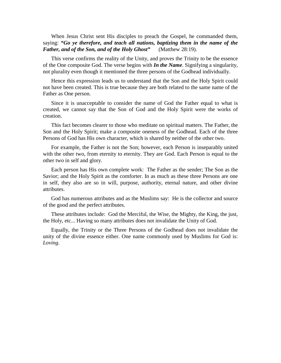When Jesus Christ sent His disciples to preach the Gospel, he commanded them, saying: *"Go ye therefore, and teach all nations, baptizing them in the name of the Father, and of the Son, and of the Holy Ghost"* (Matthew 28:19).

This verse confirms the reality of the Unity, and proves the Trinity to be the essence of the One composite God. The verse begins with *In the Name.* Signifying a singularity, not plurality even though it mentioned the three persons of the Godhead individually.

Hence this expression leads us to understand that the Son and the Holy Spirit could not have been created. This is true because they are both related to the same name of the Father as One person.

Since it is unacceptable to consider the name of God the Father equal to what is created, we cannot say that the Son of God and the Holy Spirit were the works of creation.

This fact becomes clearer to those who meditate on spiritual matters. The Father, the Son and the Holy Spirit; make a composite oneness of the Godhead. Each of the three Persons of God has His own character, which is shared by neither of the other two.

For example, the Father is not the Son; however, each Person is inseparably united with the other two, from eternity to eternity. They are God. Each Person is equal to the other two in self and glory.

Each person has His own complete work: The Father as the sender; The Son as the Savior; and the Holy Spirit as the comforter. In as much as these three Persons are one in self, they also are so in will, purpose, authority, eternal nature, and other divine attributes.

God has numerous attributes and as the Muslims say: He is the collector and source of the good and the perfect attributes.

These attributes include: God the Merciful, the Wise, the Mighty, the King, the just, the Holy, etc... Having so many attributes does not invalidate the Unity of God.

Equally, the Trinity or the Three Persons of the Godhead does not invalidate the unity of the divine essence either. One name commonly used by Muslims for God is: *Loving*.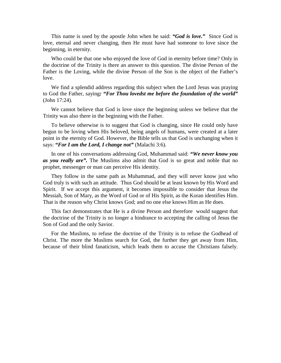This name is used by the apostle John when he said: *"God is love."* Since God is love, eternal and never changing, then He must have had someone to love since the beginning, in eternity.

Who could be that one who enjoyed the love of God in eternity before time? Only in the doctrine of the Trinity is there an answer to this question. The divine Person of the Father is the Loving, while the divine Person of the Son is the object of the Father's love.

We find a splendid address regarding this subject when the Lord Jesus was praying to God the Father, saying*: "For Thou lovedst me before the foundation of the world"* (John 17:24).

We cannot believe that God is love since the beginning unless we believe that the Trinity was also there in the beginning with the Father.

To believe otherwise is to suggest that God is changing, since He could only have begun to be loving when His beloved, being angels of humans, were created at a later point in the eternity of God. However, the Bible tells us that God is unchanging when it says: *"For I am the Lord, I change not"* (Malachi 3:6).

In one of his conversations addressing God, Muhammad said: *"We never know you as you really are".* The Muslims also admit that God is so great and noble that no prophet, messenger or man can perceive His identity.

They follow in the same path as Muhammad, and they will never know just who God truly is with such an attitude. Thus God should be at least known by His Word and Spirit. If we accept this argument, it becomes impossible to consider that Jesus the Messiah, Son of Mary, as the Word of God or of His Spirit, as the Koran identifies Him. That is the reason why Christ knows God; and no one else knows Him as He does.

This fact demonstrates that He is a divine Person and therefore would suggest that the doctrine of the Trinity is no longer a hindrance to accepting the calling of Jesus the Son of God and the only Savior.

For the Muslims, to refuse the doctrine of the Trinity is to refuse the Godhead of Christ. The more the Muslims search for God, the further they get away from Him, because of their blind fanaticism, which leads them to accuse the Christians falsely.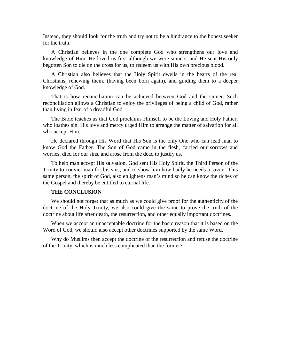Instead, they should look for the truth and try not to be a hindrance to the honest seeker for the truth.

A Christian believes in the one complete God who strengthens our love and knowledge of Him. He loved us first although we were sinners, and He sent His only begotten Son to die on the cross for us, to redeem us with His own precious blood.

A Christian also believes that the Holy Spirit dwells in the hearts of the real Christians, renewing them, (having been born again), and guiding them to a deeper knowledge of God.

That is how reconciliation can be achieved between God and the sinner. Such reconciliation allows a Christian to enjoy the privileges of being a child of God, rather than living in fear of a dreadful God.

The Bible teaches us that God proclaims Himself to be the Loving and Holy Father, who loathes sin. His love and mercy urged Him to arrange the matter of salvation for all who accept Him.

He declared through His Word that His Son is the only One who can lead man to know God the Father. The Son of God came in the flesh, carried our sorrows and worries, died for our sins, and arose from the dead to justify us.

To help man accept His salvation, God sent His Holy Spirit, the Third Person of the Trinity to convict man for his sins, and to show him how badly he needs a savior. This same person, the spirit of God, also enlightens man's mind so he can know the riches of the Gospel and thereby be entitled to eternal life.

# **THE CONCLUSION**

We should not forget that as much as we could give proof for the authenticity of the doctrine of the Holy Trinity, we also could give the same to prove the truth of the doctrine about life after death, the resurrection, and other equally important doctrines.

When we accept an unacceptable doctrine for the basic reason that it is based on the Word of God, we should also accept other doctrines supported by the same Word.

Why do Muslims then accept the doctrine of the resurrection and refuse the doctrine of the Trinity, which is much less complicated than the former?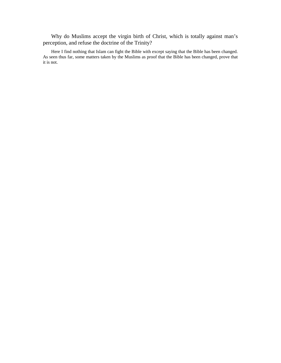Why do Muslims accept the virgin birth of Christ, which is totally against man's perception, and refuse the doctrine of the Trinity?

Here I find nothing that Islam can fight the Bible with except saying that the Bible has been changed. As seen thus far, some matters taken by the Muslims as proof that the Bible has been changed, prove that it is not.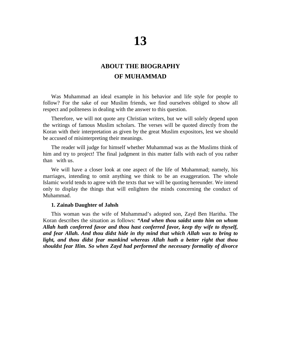# **ABOUT THE BIOGRAPHY OF MUHAMMAD**

Was Muhammad an ideal example in his behavior and life style for people to follow? For the sake of our Muslim friends, we find ourselves obliged to show all respect and politeness in dealing with the answer to this question.

Therefore, we will not quote any Christian writers, but we will solely depend upon the writings of famous Muslim scholars. The verses will be quoted directly from the Koran with their interpretation as given by the great Muslim expositors, lest we should be accused of misinterpreting their meanings.

The reader will judge for himself whether Muhammad was as the Muslims think of him and try to project! The final judgment in this matter falls with each of you rather than with us.

We will have a closer look at one aspect of the life of Muhammad; namely, his marriages, intending to omit anything we think to be an exaggeration. The whole Islamic world tends to agree with the texts that we will be quoting hereunder. We intend only to display the things that will enlighten the minds concerning the conduct of Muhammad.

### **1. Zainab Daughter of Jahsh**

This woman was the wife of Muhammad's adopted son, Zayd Ben Haritha. The Koran describes the situation as follows: *"And when thou saidst unto him on whom Allah hath conferred favor and thou hast conferred favor, keep thy wife to thyself, and fear Allah. And thou didst hide in thy mind that which Allah was to bring to light, and thou didst fear mankind whereas Allah hath a better right that thou shouldst fear Him. So when Zayd had performed the necessary formality of divorce*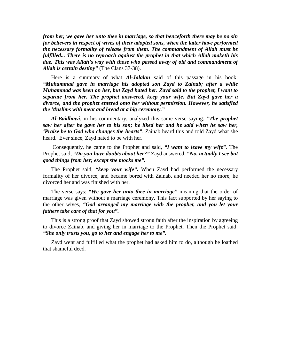*from her, we gave her unto thee in marriage, so that henceforth there may be no sin for believers in respect of wives of their adopted sons, when the latter have performed the necessary formality of release from them. The commandment of Allah must be fulfilled... There is no reproach against the prophet in that which Allah maketh his due. This was Allah's way with those who passed away of old and commandment of Allah is certain destiny"* (The Clans 37-38).

Here is a summary of what *Al-Jalalan* said of this passage in his book: *"Muhammad gave in marriage his adopted son Zayd to Zainab; after a while Muhammad was keen on her, but Zayd hated her. Zayd said to the prophet, I want to separate from her. The prophet answered, keep your wife. But Zayd gave her a divorce, and the prophet entered onto her without permission. However, he satisfied the Muslims with meat and bread at a big ceremony."* 

*Al-Baidhawi*, in his commentary, analyzed this same verse saying: *"The prophet saw her after he gave her to his son; he liked her and he said when he saw her, 'Praise be to God who changes the hearts"*. Zainab heard this and told Zayd what she heard. Ever since, Zayd hated to be with her.

 Consequently, he came to the Prophet and said, *"I want to leave my wife".* The Prophet said, *"Do you have doubts about her?"* Zayd answered, *"No, actually I see but good things from her; except she mocks me".*

The Prophet said, *"keep your wife".* When Zayd had performed the necessary formality of her divorce, and became bored with Zainab, and needed her no more, he divorced her and was finished with her.

The verse says: *"We gave her unto thee in marriage"* meaning that the order of marriage was given without a marriage ceremony. This fact supported by her saying to the other wives, *"God arranged my marriage with the prophet, and you let your fathers take care of that for you".*

This is a strong proof that Zayd showed strong faith after the inspiration by agreeing to divorce Zainab, and giving her in marriage to the Prophet. Then the Prophet said: *"She only trusts you, go to her and engage her to me".* 

Zayd went and fulfilled what the prophet had asked him to do, although he loathed that shameful deed.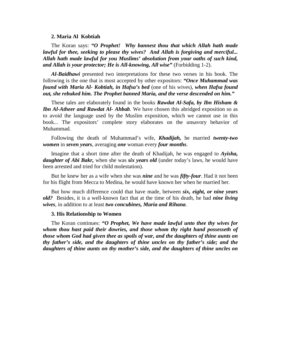### **2. Maria Al Kobtiah**

The Koran says: *"O Prophet! Why bannest thou that which Allah hath made lawful for thee, seeking to please thy wives? And Allah is forgiving and merciful... Allah hath made lawful for you Muslims' absolution from your oaths of such kind, and Allah is your protector; He is All-knowing, All wise"* (Forbidding 1-2).

*Al-Baidhawi* presented two interpretations for these two verses in his book. The following is the one that is most accepted by other expositors: *"Once Muhammad was found with Maria Al- Kobtiah, in Hafsa's bed* (one of his wives), *when Hafsa found out, she rebuked him. The Prophet banned Maria, and the verse descended on him."* 

These tales are elaborately found in the books *Rawdat Al-Safa, by Ibn Hisham & Ibn Al-Atheer and Rawdat Al- Ahbab.* We have chosen this abridged exposition so as to avoid the language used by the Muslim exposition, which we cannot use in this book... The expositors' complete story elaborates on the unsavory behavior of Muhammad.

Following the death of Muhammad's wife, *Khadijah,* he married *twenty-two women* in *seven years*, averaging *one* woman every *four months*.

Imagine that a short time after the death of Khadijah, he was engaged to *Ayisha, daughter of Abi Bakr,* when she was *six years old* (under today's laws, he would have been arrested and tried for child molestation).

But he knew her as a wife when she was *nine* and he was *fifty-four*. Had it not been for his flight from Mecca to Medina, he would have known her when he married her.

But how much difference could that have made, between *six, eight, or nine years old?* Besides, it is a well-known fact that at the time of his death, he had *nine living wives*, in addition to at least *two concubines, Maria and Rihana*.

#### **3. His Relationship to Women**

The Koran continues: *"O Prophet, We have made lawful unto thee thy wives for whom thou hast paid their dowries, and those whom thy right hand possesseth of those whom God had given thee as spoils of war, and the daughters of thine aunts on thy father's side, and the daughters of thine uncles on thy father's side; and the daughters of thine aunts on thy mother's side, and the daughters of thine uncles on*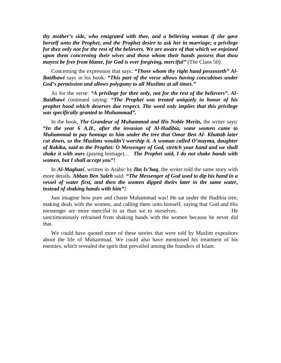*thy mother's side, who emigrated with thee, and a believing woman if she gave herself unto the Prophet, and the Prophet desire to ask her in marriage; a privilege for thee only not for the rest of the believers. We are aware of that which we enjoined upon them concerning their wives and those whom their hands possess that thou mayest be free from blame, for God is ever forgiving, merciful"* (The Clans 50).

Concerning the expression that says: *"Those whom thy right hand possesseth" Al-Baidhawi* says in his book: *"This part of the verse allows having concubines under God's permission and allows polygamy to all Muslims at all times."* 

As for the verse: *"A privilege for thee only, not for the rest of the believers". Al-Baidhawi* continued saying: *"The Prophet was treated uniquely in honor of his prophet hood which deserves due respect. The word only implies that this privilege was specifically granted to Muhammad".* 

In the book, *The Grandeur of Muhammad and His Noble Merits,* the writer says*: "In the year 6 A.H., after the invasion of Al-Hadibia, some women came to Muhammad to pay homage to him under the tree that Omar Ben Al- Khattab later cut down, so the Muslims wouldn't worship it. A woman called O'mayma, daughter of Rakika, said to the Prophet: O Messenger of God, stretch your hand and we shall shake it with ours* (paying homage)… *The Prophet said, I do not shake hands with women, but I shall accept you"!* 

In *Al-Maghazi*, written in Arabic by *Ibn Is'haq*, the writer told the same story with more details. *Abban Ben Saleh* said: *"The Messenger of God used to dip his hand in a vessel of water first, and then the women dipped theirs later in the same water, instead of shaking hands with him"!* 

Just imagine how pure and chaste Muhammad was! He sat under the Hadibia tree, making deals with the women, and calling them unto himself, saying that God and His messenger are more merciful to us than we to ourselves. He sanctimoniously refrained from shaking hands with the women because he never did that.

We could have quoted more of these stories that were told by Muslim expositors about the life of Muhammad. We could also have mentioned his treatment of his enemies, which revealed the spirit that prevailed among the founders of Islam.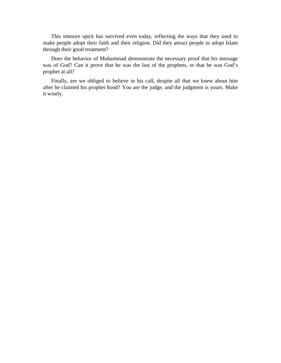This immure spirit has survived even today, reflecting the ways that they used to make people adopt their faith and their religion. Did they attract people to adopt Islam through their good treatment?

Does the behavior of Muhammad demonstrate the necessary proof that his message was of God? Can it prove that he was the last of the prophets, or that he was God's prophet at all?

Finally, are we obliged to believe in his call, despite all that we knew about him after he claimed his prophet hood? You are the judge, and the judgment is yours. Make it wisely.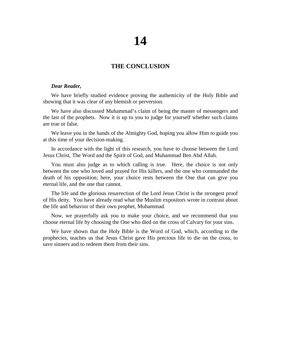# **THE CONCLUSION**

# *Dear Reader,*

We have briefly studied evidence proving the authenticity of the Holy Bible and showing that it was clear of any blemish or perversion.

We have also discussed Muhammad's claim of being the master of messengers and the last of the prophets. Now it is up to you to judge for yourself whether such claims are true or false.

We leave you in the hands of the Almighty God, hoping you allow Him to guide you at this time of your decision-making.

In accordance with the light of this research, you have to choose between the Lord Jesus Christ, The Word and the Spirit of God, and Muhammad Ben Abd Allah.

You must also judge as to which calling is true. Here, the choice is not only between the one who loved and prayed for His killers, and the one who commanded the death of his opposition; here, your choice rests between the One that can give you eternal life, and the one that cannot.

The life and the glorious resurrection of the Lord Jesus Christ is the strongest proof of His deity. You have already read what the Muslim expositors wrote in contrast about the life and behavior of their own prophet, Muhammad.

Now, we prayerfully ask you to make your choice, and we recommend that you choose eternal life by choosing the One who died on the cross of Calvary for your sins.

We have shown that the Holy Bible is the Word of God, which, according to the prophecies, teaches us that Jesus Christ gave His precious life to die on the cross, to save sinners and to redeem them from their sins.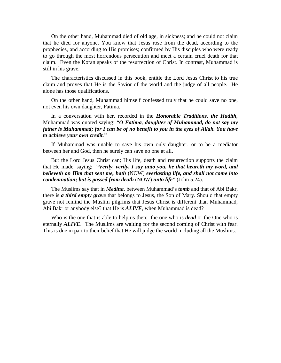On the other hand, Muhammad died of old age, in sickness; and he could not claim that he died for anyone. You know that Jesus rose from the dead, according to the prophecies, and according to His promises; confirmed by His disciples who were ready to go through the most horrendous persecution and meet a certain cruel death for that claim. Even the Koran speaks of the resurrection of Christ. In contrast, Muhammad is still in his grave.

The characteristics discussed in this book, entitle the Lord Jesus Christ to his true claim and proves that He is the Savior of the world and the judge of all people. He alone has those qualifications.

On the other hand, Muhammad himself confessed truly that he could save no one, not even his own daughter, Fatima.

In a conversation with her, recorded in the *Honorable Traditions, the Hadith,* Muhammad was quoted saying: *"O Fatima, daughter of Muhammad, do not say my father is Muhammad; for I can be of no benefit to you in the eyes of Allah. You have to achieve your own credit."* 

If Muhammad was unable to save his own only daughter, or to be a mediator between her and God, then he surely can save no one at all.

But the Lord Jesus Christ can; His life, death and resurrection supports the claim that He made, saying: *"Verily, verily, I say unto you, he that heareth my word, and believeth on Him that sent me, hath* (NOW) *everlasting life, and shall not come into condemnation; but is passed from death* (NOW) *unto life"* (John 5.24).

The Muslims say that in *Medina*, between Muhammad's *tomb* and that of Abi Bakr, there is *a third empty grave* that belongs to Jesus, the Son of Mary. Should that empty grave not remind the Muslim pilgrims that Jesus Christ is different than Muhammad, Abi Bakr or anybody else? that He is *ALIVE*, when Muhammad is dead?

Who is the one that is able to help us then: the one who is *dead* or the One who is eternally *ALIVE*. The Muslims are waiting for the second coming of Christ with fear. This is due in part to their belief that He will judge the world including all the Muslims.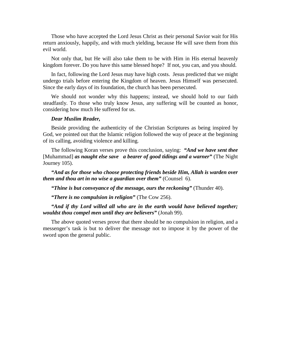Those who have accepted the Lord Jesus Christ as their personal Savior wait for His return anxiously, happily, and with much yielding, because He will save them from this evil world.

Not only that, but He will also take them to be with Him in His eternal heavenly kingdom forever. Do you have this same blessed hope? If not, you can, and you should.

In fact, following the Lord Jesus may have high costs. Jesus predicted that we might undergo trials before entering the Kingdom of heaven. Jesus Himself was persecuted. Since the early days of its foundation, the church has been persecuted.

We should not wonder why this happens; instead, we should hold to our faith steadfastly. To those who truly know Jesus, any suffering will be counted as honor, considering how much He suffered for us.

## *Dear Muslim Reader,*

Beside providing the authenticity of the Christian Scriptures as being inspired by God, we pointed out that the Islamic religion followed the way of peace at the beginning of its calling, avoiding violence and killing.

The following Koran verses prove this conclusion, saying: *"And we have sent thee*  [Muhammad] *as naught else save a bearer of good tidings and a warner"* (The Night Journey 105).

*"And as for those who choose protecting friends beside Him, Allah is warden over them and thou art in no wise a guardian over them"* (Counsel 6).

*"Thine is but conveyance of the message, ours the reckoning"* (Thunder 40).

*"There is no compulsion in religion"* (The Cow 256).

*"And if thy Lord willed all who are in the earth would have believed together; wouldst thou compel men until they are believers"* (Jonah 99).

The above quoted verses prove that there should be no compulsion in religion, and a messenger's task is but to deliver the message not to impose it by the power of the sword upon the general public.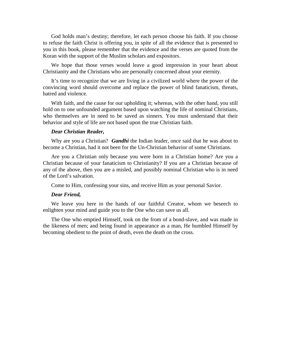God holds man's destiny; therefore, let each person choose his faith. If you choose to refuse the faith Christ is offering you, in spite of all the evidence that is presented to you in this book, please remember that the evidence and the verses are quoted from the Koran with the support of the Muslim scholars and expositors.

We hope that those verses would leave a good impression in your heart about Christianity and the Christians who are personally concerned about your eternity.

It's time to recognize that we are living in a civilized world where the power of the convincing word should overcome and replace the power of blind fanaticism, threats, hatred and violence.

With faith, and the cause for our upholding it; whereas, with the other hand, you still hold on to one unfounded argument based upon watching the life of nominal Christians, who themselves are in need to be saved as sinners. You must understand that their behavior and style of life are not based upon the true Christian faith.

#### *Dear Christian Reader,*

Why are you a Christian? *Gandhi* the Indian leader, once said that he was about to become a Christian, had it not been for the Un-Christian behavior of some Christians.

Are you a Christian only because you were born in a Christian home? Are you a Christian because of your fanaticism to Christianity? If you are a Christian because of any of the above, then you are a misled, and possibly nominal Christian who is in need of the Lord's salvation.

Come to Him, confessing your sins, and receive Him as your personal Savior.

#### *Dear Friend,*

We leave you here in the hands of our faithful Creator, whom we beseech to enlighten your mind and guide you to the One who can save us all.

The One who emptied Himself, took on the from of a bond-slave, and was made in the likeness of men; and being found in appearance as a man, He humbled Himself by becoming obedient to the point of death, even the death on the cross.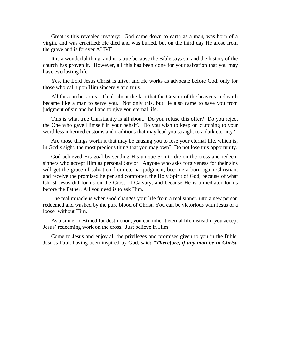Great is this revealed mystery: God came down to earth as a man, was born of a virgin, and was crucified; He died and was buried, but on the third day He arose from the grave and is forever ALIVE.

It is a wonderful thing, and it is true because the Bible says so, and the history of the church has proven it. However, all this has been done for your salvation that you may have everlasting life.

Yes, the Lord Jesus Christ is alive, and He works as advocate before God, only for those who call upon Him sincerely and truly.

All this can be yours! Think about the fact that the Creator of the heavens and earth became like a man to serve you. Not only this, but He also came to save you from judgment of sin and hell and to give you eternal life.

This is what true Christianity is all about. Do you refuse this offer? Do you reject the One who gave Himself in your behalf? Do you wish to keep on clutching to your worthless inherited customs and traditions that may lead you straight to a dark eternity?

Are those things worth it that may be causing you to lose your eternal life, which is, in God's sight, the most precious thing that you may own? Do not lose this opportunity.

God achieved His goal by sending His unique Son to die on the cross and redeem sinners who accept Him as personal Savior. Anyone who asks forgiveness for their sins will get the grace of salvation from eternal judgment, become a born-again Christian, and receive the promised helper and comforter, the Holy Spirit of God, because of what Christ Jesus did for us on the Cross of Calvary, and because He is a mediator for us before the Father. All you need is to ask Him.

The real miracle is when God changes your life from a real sinner, into a new person redeemed and washed by the pure blood of Christ. You can be victorious with Jesus or a looser without Him.

As a sinner, destined for destruction, you can inherit eternal life instead if you accept Jesus' redeeming work on the cross. Just believe in Him!

Come to Jesus and enjoy all the privileges and promises given to you in the Bible. Just as Paul, having been inspired by God, said*: "Therefore, if any man be in Christ,*